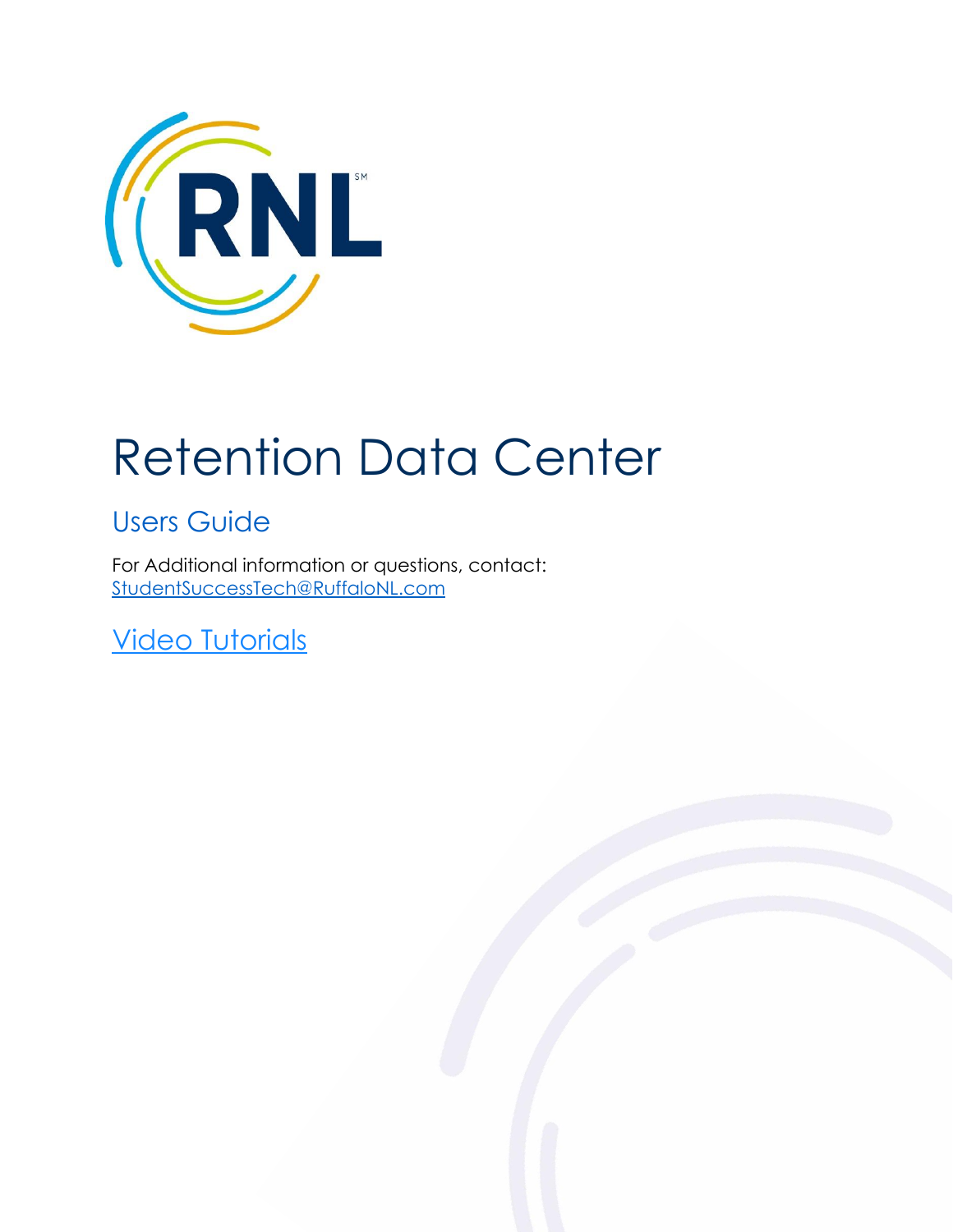

# Retention Data Center

# Users Guide

For Additional information or questions, contact: [StudentSuccessTech@RuffaloNL.com](mailto:StudentSuccessTech@RuffaloNL.com)

**[Video Tutorials](https://fast.wistia.com/embed/channel/p709mf3zld)**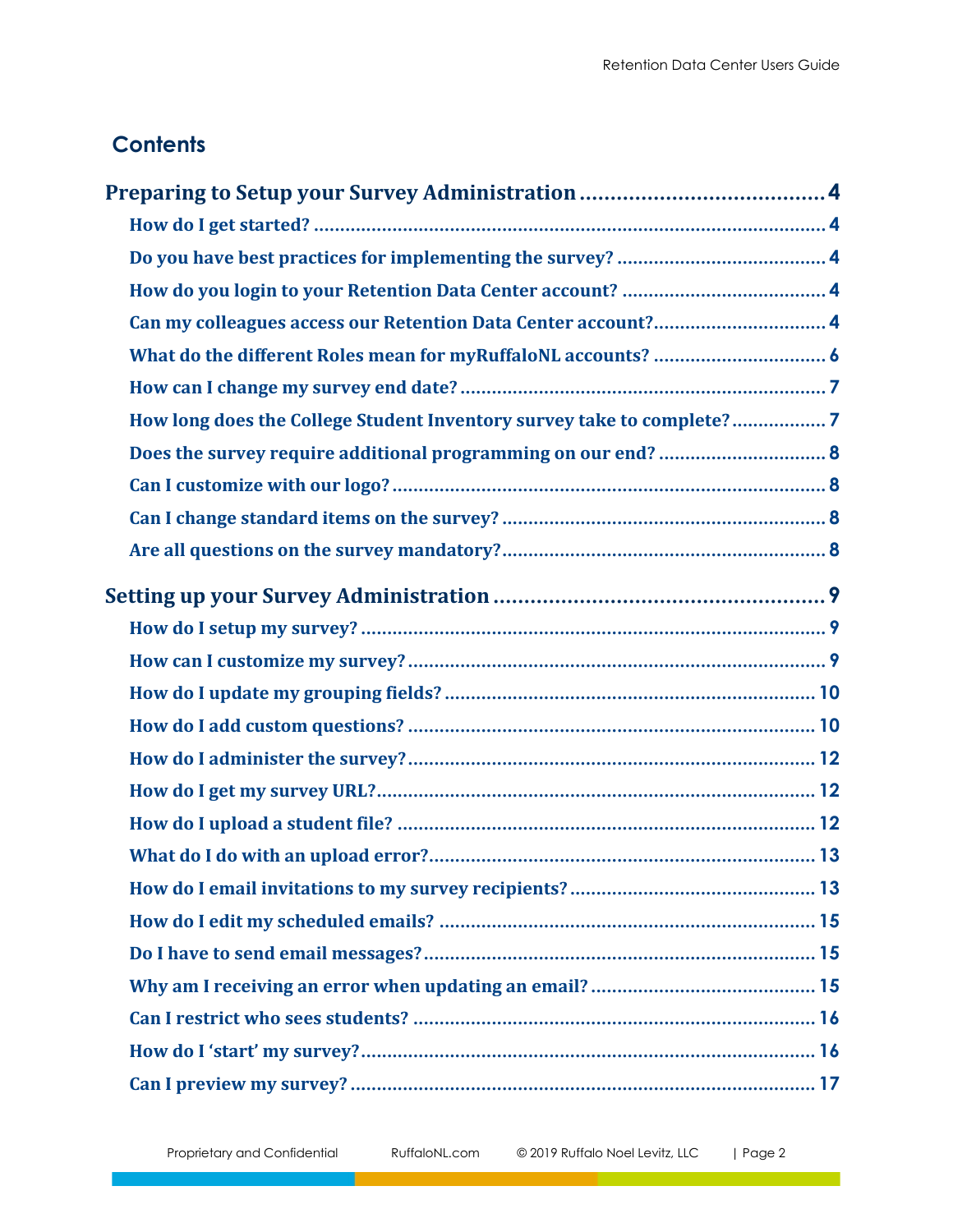# **Contents**

| Can my colleagues access our Retention Data Center account? 4         |
|-----------------------------------------------------------------------|
|                                                                       |
|                                                                       |
| How long does the College Student Inventory survey take to complete?7 |
|                                                                       |
|                                                                       |
|                                                                       |
|                                                                       |
|                                                                       |
|                                                                       |
|                                                                       |
|                                                                       |
|                                                                       |
|                                                                       |
|                                                                       |
|                                                                       |
|                                                                       |
|                                                                       |
|                                                                       |
|                                                                       |
|                                                                       |
|                                                                       |
|                                                                       |
|                                                                       |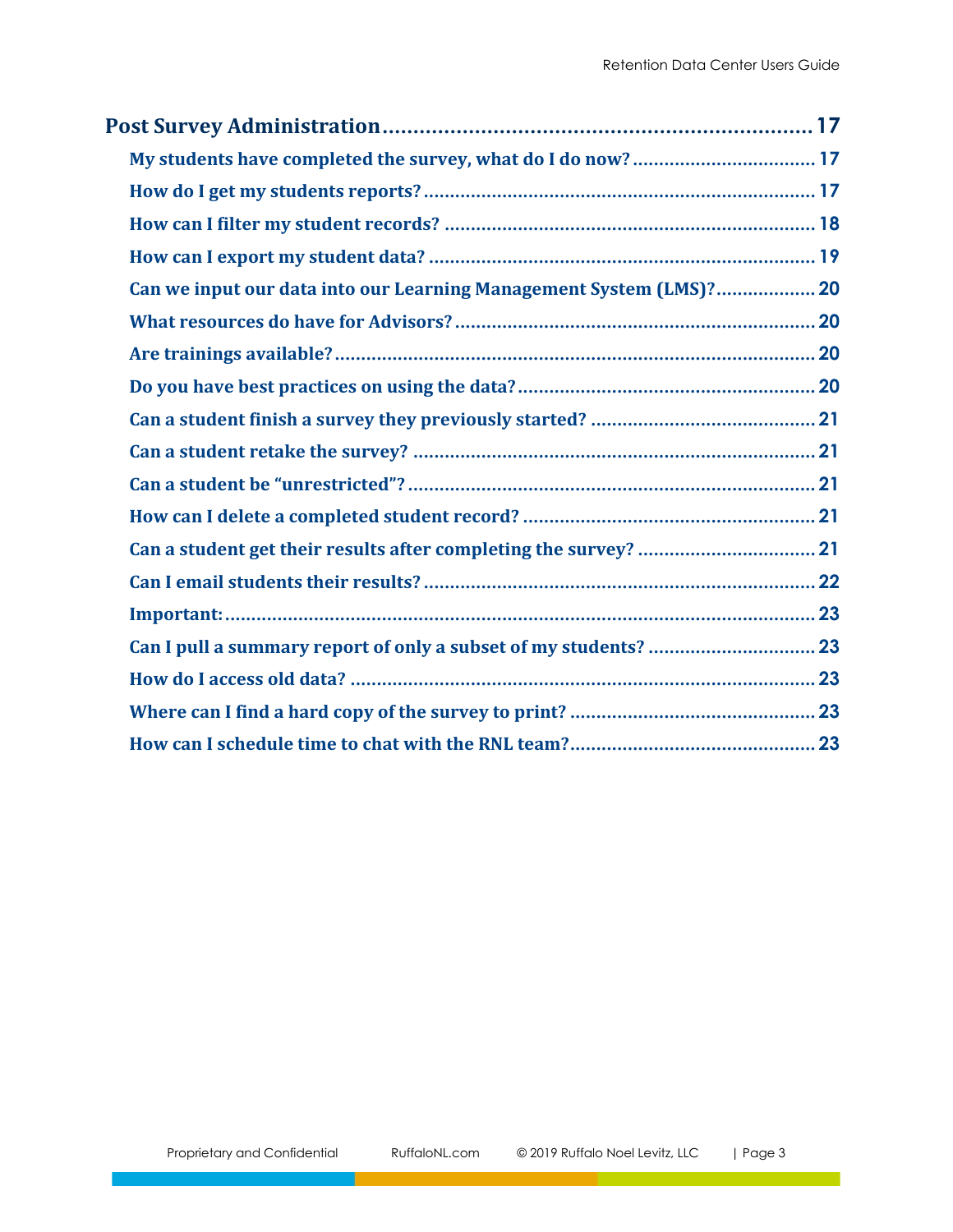| Can we input our data into our Learning Management System (LMS)? 20 |  |
|---------------------------------------------------------------------|--|
|                                                                     |  |
|                                                                     |  |
|                                                                     |  |
|                                                                     |  |
|                                                                     |  |
|                                                                     |  |
|                                                                     |  |
|                                                                     |  |
|                                                                     |  |
|                                                                     |  |
|                                                                     |  |
|                                                                     |  |
|                                                                     |  |
|                                                                     |  |
|                                                                     |  |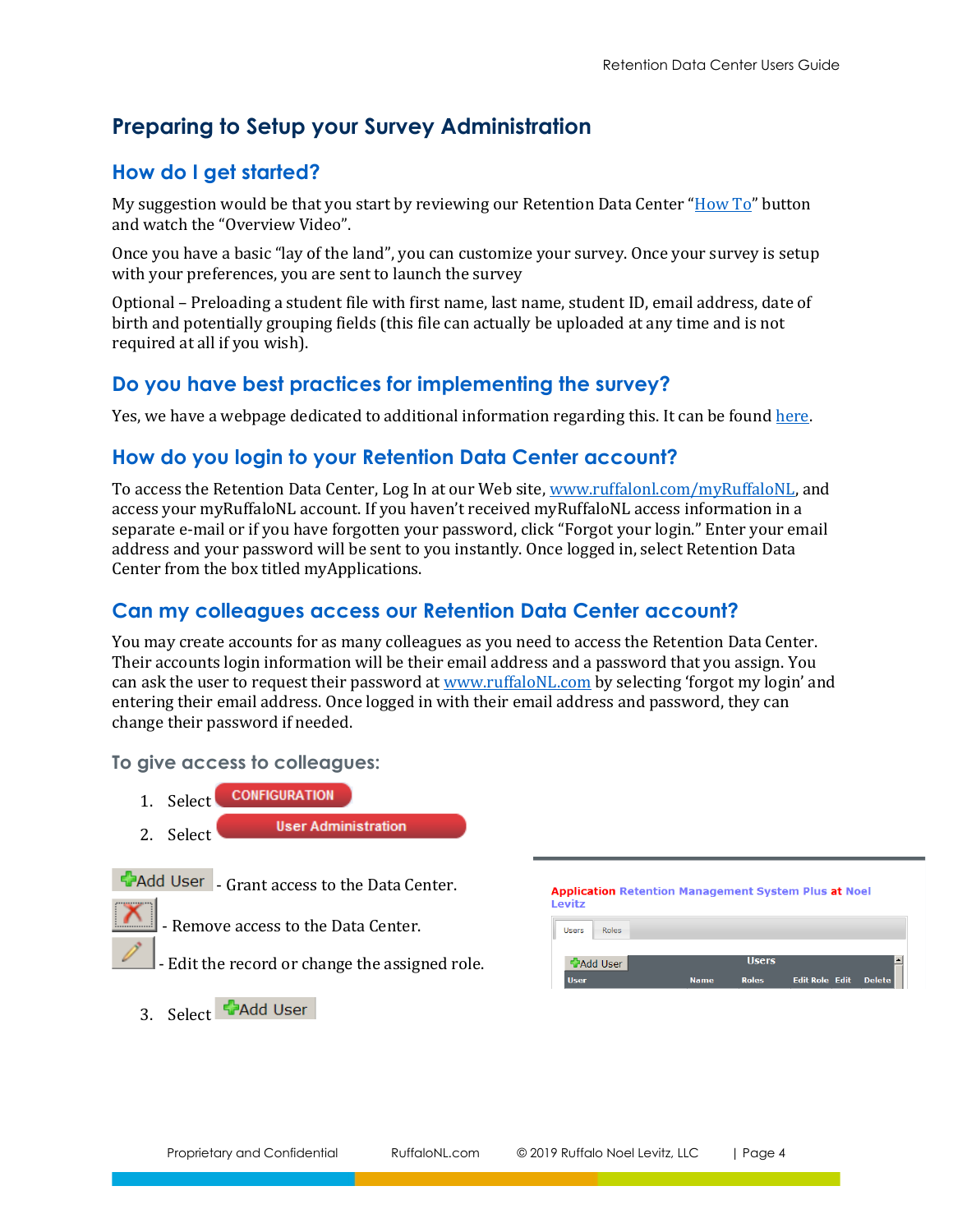# <span id="page-3-0"></span>**Preparing to Setup your Survey Administration**

## <span id="page-3-1"></span>**How do I get started?**

My suggestion would be that you start by reviewing our Retention Data Center " $How To"$  $How To"$  button and watch the "Overview Video".

Once you have a basic "lay of the land", you can customize your survey. Once your survey is setup with your preferences, you are sent to launch the survey

Optional – Preloading a student file with first name, last name, student ID, email address, date of birth and potentially grouping fields (this file can actually be uploaded at any time and is not required at all if you wish).

## <span id="page-3-2"></span>**Do you have best practices for implementing the survey?**

Yes, we have a webpage dedicated to additional information regarding this. It can be foun[d here.](https://www.ruffalonl.com/complete-enrollment-management/student-success/rnl-retention-management-system-plus/planning-and-implementing-your-survey/)

## <span id="page-3-3"></span>**How do you login to your Retention Data Center account?**

To access the Retention Data Center, Log In at our Web site, [www.ruffalonl.com/myRuffaloNL,](http://www.ruffalonl.com/myRuffaloNL) and access your myRuffaloNL account. If you haven't received myRuffaloNL access information in a separate e-mail or if you have forgotten your password, click "Forgot your login." Enter your email address and your password will be sent to you instantly. Once logged in, select Retention Data Center from the box titled myApplications.

## <span id="page-3-4"></span>**Can my colleagues access our Retention Data Center account?**

You may create accounts for as many colleagues as you need to access the Retention Data Center. Their accounts login information will be their email address and a password that you assign. You can ask the user to request their password at <u>www.ruffaloNL.com</u> by selecting 'forgot my login' and entering their email address. Once logged in with their email address and password, they can change their password if needed.

**To give access to colleagues:**

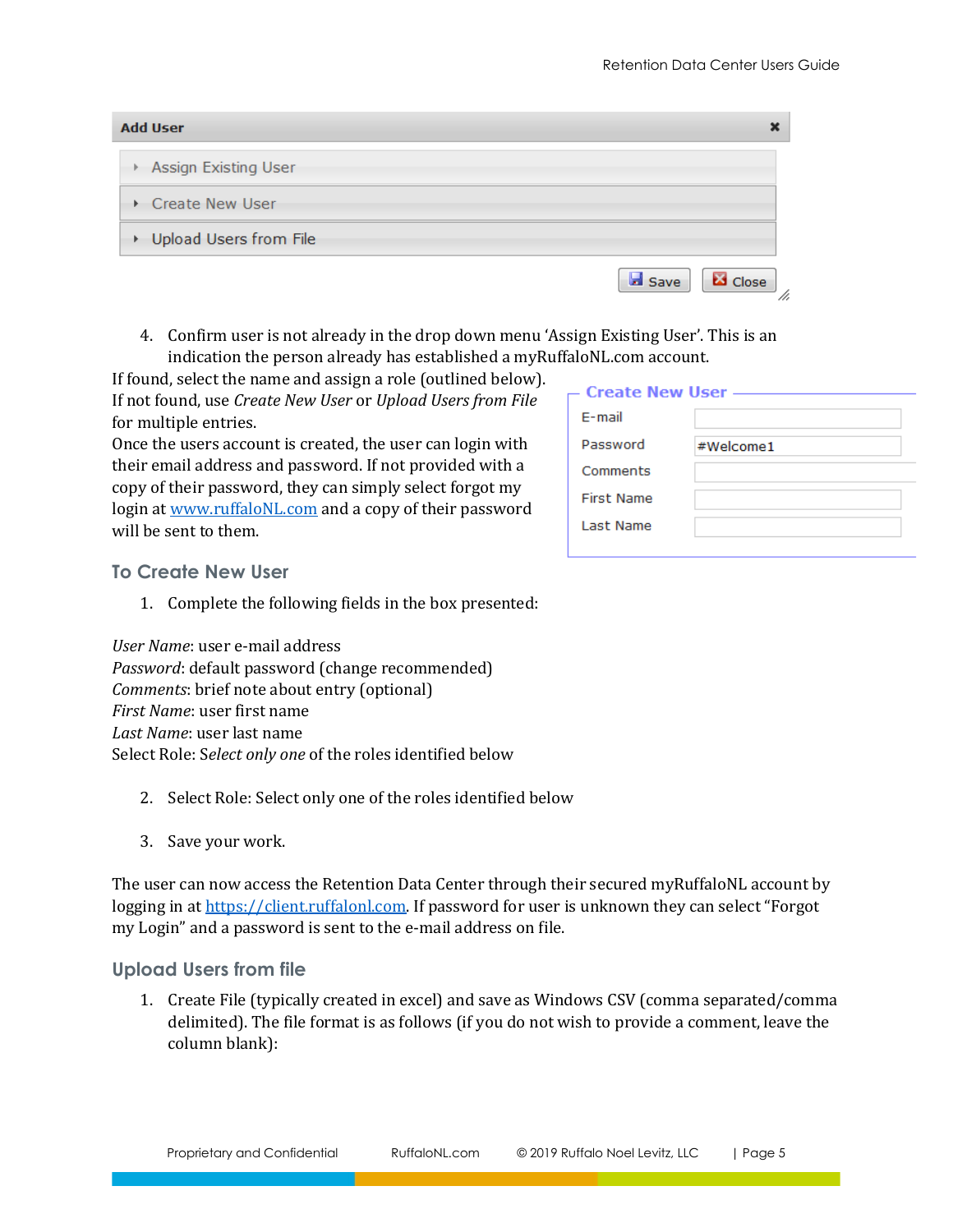$\mathbf{x}$ 

#### **Add User**

- Assign Existing User
- Create New User
- Upload Users from File
	- 4. Confirm user is not already in the drop down menu 'Assign Existing User'. This is an indication the person already has established a myRuffaloNL.com account.

If found, select the name and assign a role (outlined below). If not found, use *Create New User* or *Upload Users from File*  for multiple entries.

Once the users account is created, the user can login with their email address and password. If not provided with a copy of their password, they can simply select forgot my login a[t www.ruffaloNL.com](http://www.ruffalonl.com/) and a copy of their password will be sent to them.

| - Create New User - |           |  |  |  |  |
|---------------------|-----------|--|--|--|--|
| $F$ -mail           |           |  |  |  |  |
| Password            | #Welcome1 |  |  |  |  |
| Comments            |           |  |  |  |  |
| <b>First Name</b>   |           |  |  |  |  |
| Last Name           |           |  |  |  |  |
|                     |           |  |  |  |  |

**Ed** Close

**B** Save

#### **To Create New User**

1. Complete the following fields in the box presented:

*User Name*: user e-mail address *Password*: default password (change recommended) *Comments*: brief note about entry (optional) *First Name*: user first name *Last Name*: user last name Select Role: S*elect only one* of the roles identified below

- 2. Select Role: Select only one of the roles identified below
- 3. Save your work.

The user can now access the Retention Data Center through their secured myRuffaloNL account by logging in at [https://client.ruffalonl.com](https://client.ruffalonl.com/). If password for user is unknown they can select "Forgot my Login" and a password is sent to the e-mail address on file.

#### **Upload Users from file**

1. Create File (typically created in excel) and save as Windows CSV (comma separated/comma delimited). The file format is as follows (if you do not wish to provide a comment, leave the column blank):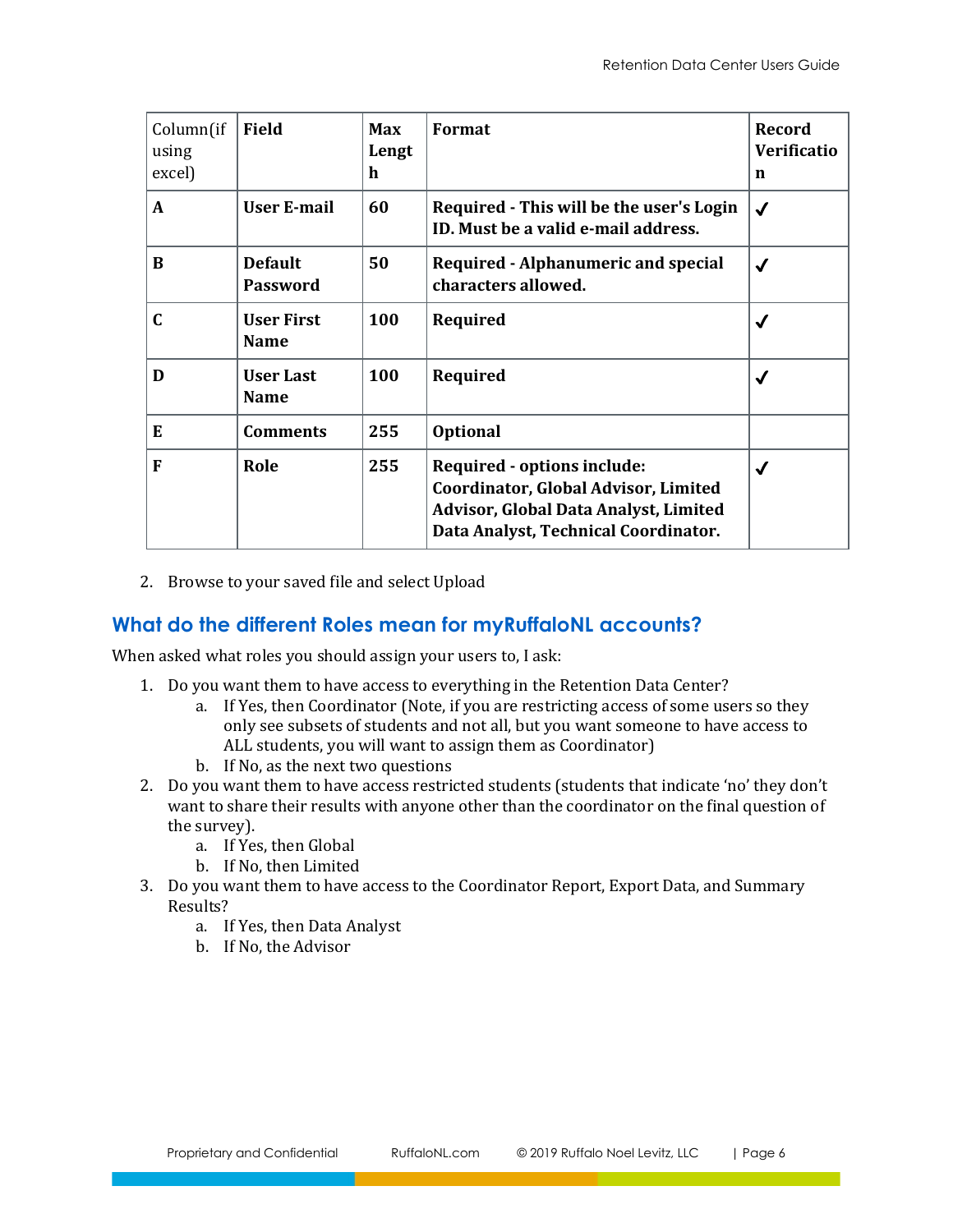| Column(if<br>using<br>excel) | <b>Field</b>                      | <b>Max</b><br>Lengt<br>h | Format                                                                                                                                                      | <b>Record</b><br><b>Verificatio</b><br>n |
|------------------------------|-----------------------------------|--------------------------|-------------------------------------------------------------------------------------------------------------------------------------------------------------|------------------------------------------|
| A                            | User E-mail                       | 60                       | Required - This will be the user's Login<br>ID. Must be a valid e-mail address.                                                                             | $\checkmark$                             |
| B                            | <b>Default</b><br><b>Password</b> | 50                       | <b>Required - Alphanumeric and special</b><br>characters allowed.                                                                                           | √                                        |
| C                            | <b>User First</b><br><b>Name</b>  | 100                      | Required                                                                                                                                                    | √                                        |
| D                            | <b>User Last</b><br><b>Name</b>   | 100                      | Required                                                                                                                                                    | √                                        |
| E                            | <b>Comments</b>                   | 255                      | <b>Optional</b>                                                                                                                                             |                                          |
| F                            | Role                              | 255                      | Required - options include:<br>Coordinator, Global Advisor, Limited<br><b>Advisor, Global Data Analyst, Limited</b><br>Data Analyst, Technical Coordinator. | √                                        |

2. Browse to your saved file and select Upload

## <span id="page-5-0"></span>**What do the different Roles mean for myRuffaloNL accounts?**

When asked what roles you should assign your users to, I ask:

- 1. Do you want them to have access to everything in the Retention Data Center?
	- a. If Yes, then Coordinator (Note, if you are restricting access of some users so they only see subsets of students and not all, but you want someone to have access to ALL students, you will want to assign them as Coordinator)
	- b. If No, as the next two questions
- 2. Do you want them to have access restricted students (students that indicate 'no' they don't want to share their results with anyone other than the coordinator on the final question of the survey).
	- a. If Yes, then Global
	- b. If No, then Limited
- 3. Do you want them to have access to the Coordinator Report, Export Data, and Summary Results?
	- a. If Yes, then Data Analyst
	- b. If No, the Advisor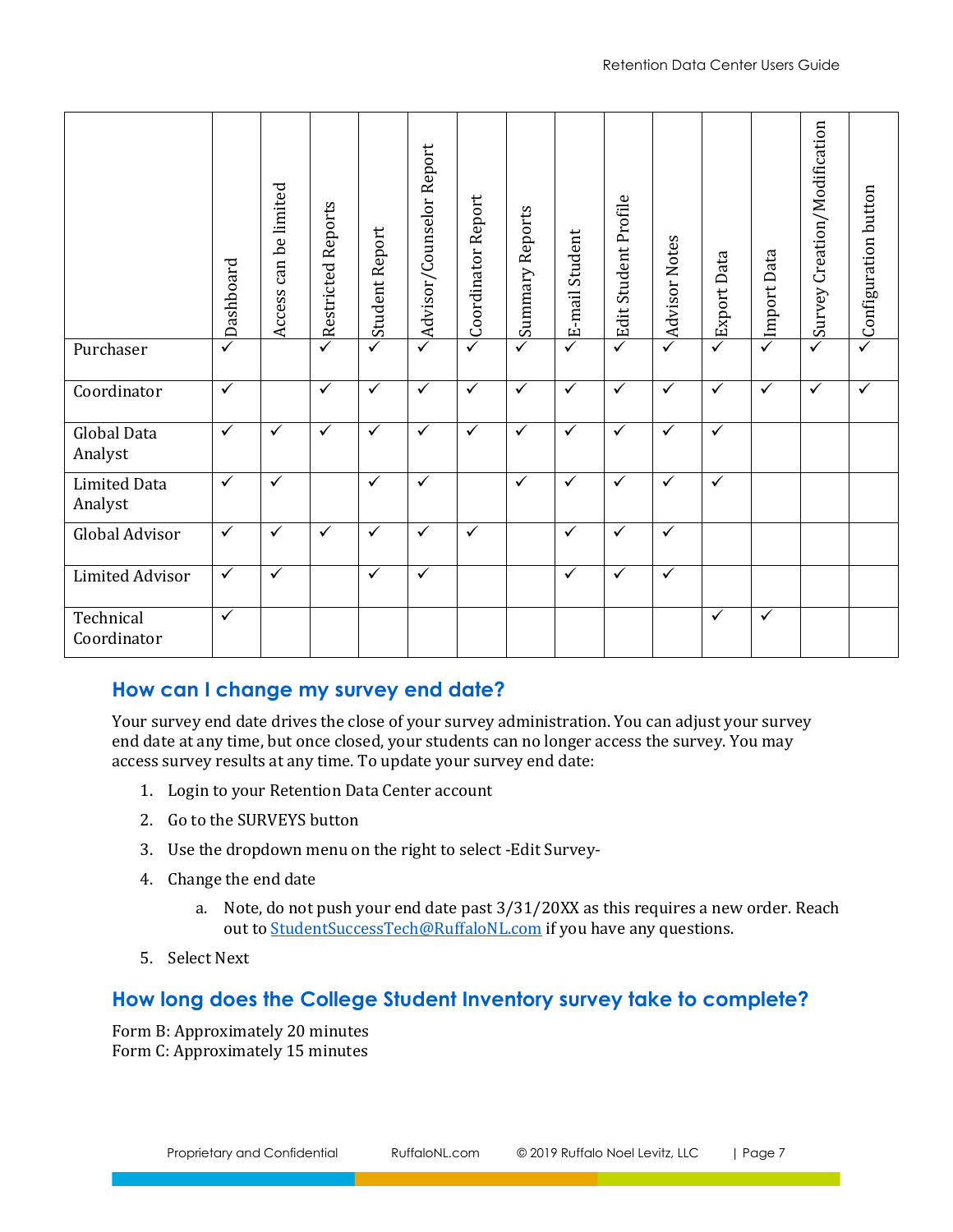|                                                                                                                                                                                                                                                                                                                                                                                                                                                                                                                                                                                                                                                                                   | Dashboard    | can be limited<br>Access     | <b>Restricted Reports</b> | <b>Student Report</b> | Advisor/Counselor Report | Coordinator Report | Summary Reports | E-mail Student | Edit Student Profile | Advisor Notes                   | Export Data  | Import Data | Survey Creation/Modification | $\triangle$ Configuration button |
|-----------------------------------------------------------------------------------------------------------------------------------------------------------------------------------------------------------------------------------------------------------------------------------------------------------------------------------------------------------------------------------------------------------------------------------------------------------------------------------------------------------------------------------------------------------------------------------------------------------------------------------------------------------------------------------|--------------|------------------------------|---------------------------|-----------------------|--------------------------|--------------------|-----------------|----------------|----------------------|---------------------------------|--------------|-------------|------------------------------|----------------------------------|
| Purchaser                                                                                                                                                                                                                                                                                                                                                                                                                                                                                                                                                                                                                                                                         | ✓            |                              |                           |                       |                          | ✓                  |                 |                | ✓                    |                                 | ✓            |             |                              |                                  |
| Coordinator                                                                                                                                                                                                                                                                                                                                                                                                                                                                                                                                                                                                                                                                       | $\checkmark$ |                              | ✓                         | $\checkmark$          | $\checkmark$             | $\checkmark$       | $\checkmark$    | $\checkmark$   | $\checkmark$         | $\checkmark$                    | $\checkmark$ | ✓           | $\checkmark$                 | ✓                                |
| <b>Global Data</b><br>Analyst                                                                                                                                                                                                                                                                                                                                                                                                                                                                                                                                                                                                                                                     | $\checkmark$ | $\checkmark$                 | ✓                         | ✓                     | $\checkmark$             | $\checkmark$       | ✓               | $\checkmark$   | ✓                    | $\checkmark$                    | $\checkmark$ |             |                              |                                  |
| <b>Limited Data</b><br>Analyst                                                                                                                                                                                                                                                                                                                                                                                                                                                                                                                                                                                                                                                    | $\checkmark$ | $\checkmark$                 |                           | $\checkmark$          | $\overline{\checkmark}$  |                    | $\checkmark$    | $\checkmark$   | $\checkmark$         | $\overline{\checkmark}$         | $\checkmark$ |             |                              |                                  |
| Global Advisor                                                                                                                                                                                                                                                                                                                                                                                                                                                                                                                                                                                                                                                                    | ✓            | $\checkmark$                 | ✓                         | ✓                     | $\checkmark$             | $\checkmark$       |                 | $\checkmark$   | ✓                    | $\checkmark$                    |              |             |                              |                                  |
| <b>Limited Advisor</b>                                                                                                                                                                                                                                                                                                                                                                                                                                                                                                                                                                                                                                                            | $\checkmark$ | $\checkmark$                 |                           | ✓                     | $\checkmark$             |                    |                 | $\checkmark$   | ✓                    | $\checkmark$                    |              |             |                              |                                  |
| Technical<br>Coordinator                                                                                                                                                                                                                                                                                                                                                                                                                                                                                                                                                                                                                                                          | $\checkmark$ |                              |                           |                       |                          |                    |                 |                |                      |                                 | ✓            | ✓           |                              |                                  |
| How can I change my survey end date?<br>Your survey end date drives the close of your survey administration. You can adjust your survey<br>end date at any time, but once closed, your students can no longer access the survey. You may<br>access survey results at any time. To update your survey end date:<br>Login to your Retention Data Center account<br>1.<br>2. Go to the SURVEYS button<br>Use the dropdown menu on the right to select -Edit Survey-<br>3.<br>4. Change the end date<br>a. Note, do not push your end date past 3/31/20XX as this requires a new order. Reach<br>out to StudentSuccessTech@RuffaloNL.com if you have any questions.<br>5. Select Next |              |                              |                           |                       |                          |                    |                 |                |                      |                                 |              |             |                              |                                  |
|                                                                                                                                                                                                                                                                                                                                                                                                                                                                                                                                                                                                                                                                                   |              |                              |                           |                       |                          |                    |                 |                |                      |                                 |              |             |                              |                                  |
| How long does the College Student Inventory survey take to complete?<br>Form B: Approximately 20 minutes<br>Form C: Approximately 15 minutes                                                                                                                                                                                                                                                                                                                                                                                                                                                                                                                                      |              |                              |                           |                       |                          |                    |                 |                |                      |                                 |              |             |                              |                                  |
|                                                                                                                                                                                                                                                                                                                                                                                                                                                                                                                                                                                                                                                                                   |              | Proprietary and Confidential |                           |                       | RuffaloNL.com            |                    |                 |                |                      | © 2019 Ruffalo Noel Levitz, LLC |              | Page 7      |                              |                                  |

# <span id="page-6-0"></span>**How can I change my survey end date?**

- 1. Login to your Retention Data Center account
- 2. Go to the SURVEYS button
- 3. Use the dropdown menu on the right to select -Edit Survey-
- 4. Change the end date
	- a. Note, do not push your end date past 3/31/20XX as this requires a new order. Reach out to [StudentSuccessTech@RuffaloNL.com](mailto:StudentSuccessTech@RuffaloNL.com) if you have any questions.
- 5. Select Next

# <span id="page-6-1"></span>**How long does the College Student Inventory survey take to complete?**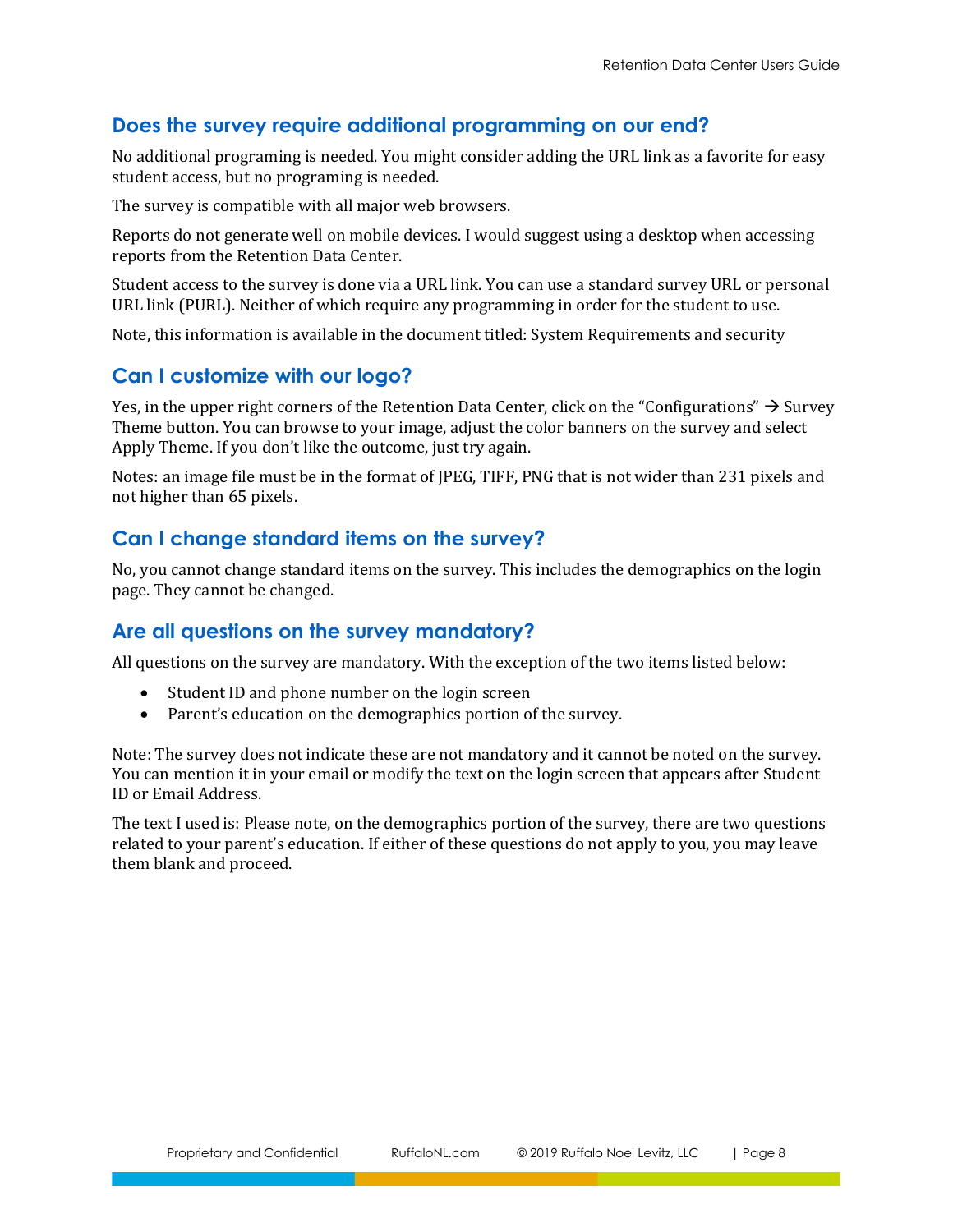## <span id="page-7-0"></span>**Does the survey require additional programming on our end?**

No additional programing is needed. You might consider adding the URL link as a favorite for easy student access, but no programing is needed.

The survey is compatible with all major web browsers.

Reports do not generate well on mobile devices. I would suggest using a desktop when accessing reports from the Retention Data Center.

Student access to the survey is done via a URL link. You can use a standard survey URL or personal URL link (PURL). Neither of which require any programming in order for the student to use.

Note, this information is available in the document titled: System Requirements and security

## <span id="page-7-1"></span>**Can I customize with our logo?**

Yes, in the upper right corners of the Retention Data Center, click on the "Configurations"  $\rightarrow$  Survey Theme button. You can browse to your image, adjust the color banners on the survey and select Apply Theme. If you don't like the outcome, just try again.

Notes: an image file must be in the format of JPEG, TIFF, PNG that is not wider than 231 pixels and not higher than 65 pixels.

## <span id="page-7-2"></span>**Can I change standard items on the survey?**

No, you cannot change standard items on the survey. This includes the demographics on the login page. They cannot be changed.

## <span id="page-7-3"></span>**Are all questions on the survey mandatory?**

All questions on the survey are mandatory. With the exception of the two items listed below:

- Student ID and phone number on the login screen
- Parent's education on the demographics portion of the survey.

Note: The survey does not indicate these are not mandatory and it cannot be noted on the survey. You can mention it in your email or modify the text on the login screen that appears after Student ID or Email Address.

The text I used is: Please note, on the demographics portion of the survey, there are two questions related to your parent's education. If either of these questions do not apply to you, you may leave them blank and proceed.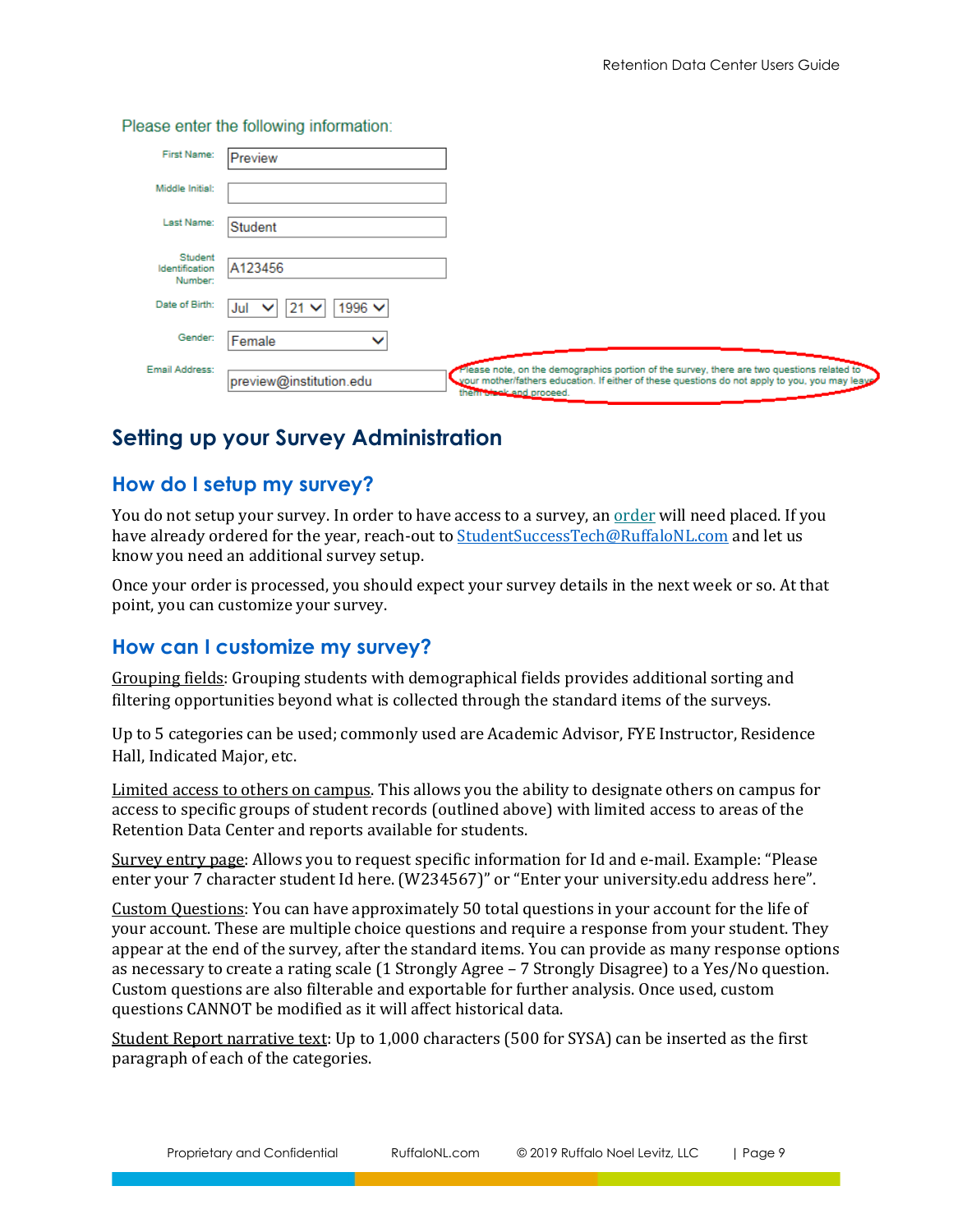| First Name:                          | Preview                                                                                                                                                                                                                                           |
|--------------------------------------|---------------------------------------------------------------------------------------------------------------------------------------------------------------------------------------------------------------------------------------------------|
| Middle Initial:                      |                                                                                                                                                                                                                                                   |
| Last Name:                           | Student                                                                                                                                                                                                                                           |
| Student<br>Identification<br>Number: | A123456                                                                                                                                                                                                                                           |
| Date of Birth:                       | 1996 $\vee$<br>$21 \vee$<br>Jul<br>$\checkmark$                                                                                                                                                                                                   |
| Gender:                              | Female<br>$\checkmark$                                                                                                                                                                                                                            |
| Email Address:                       | Please note, on the demographics portion of the survey, there are two questions related to<br>preview@institution.edu<br>your mother/fathers education. If either of these questions do not apply to you, you may leay<br>them there and proceed. |

Please enter the following information:

# <span id="page-8-0"></span>**Setting up your Survey Administration**

## <span id="page-8-1"></span>**How do I setup my survey?**

You do not setup your survey. In order to have access to a survey, a[n order](https://www.ruffalonl.com/enrollment-management-solutions/student-success/rnl-retention-management-system-plus/rms-plus-order-form/retention-management-system-online-administration-order-form/) will need placed. If you have already ordered for the year, reach-out to [StudentSuccessTech@RuffaloNL.com](mailto:StudentSuccessTech@RuffaloNL.com) and let us know you need an additional survey setup.

Once your order is processed, you should expect your survey details in the next week or so. At that point, you can customize your survey.

## <span id="page-8-2"></span>**How can I customize my survey?**

Grouping fields: Grouping students with demographical fields provides additional sorting and filtering opportunities beyond what is collected through the standard items of the surveys.

Up to 5 categories can be used; commonly used are Academic Advisor, FYE Instructor, Residence Hall, Indicated Major, etc.

Limited access to others on campus. This allows you the ability to designate others on campus for access to specific groups of student records (outlined above) with limited access to areas of the Retention Data Center and reports available for students.

Survey entry page: Allows you to request specific information for Id and e-mail. Example: "Please enter your 7 character student Id here. (W234567)" or "Enter your university.edu address here".

Custom Questions: You can have approximately 50 total questions in your account for the life of your account. These are multiple choice questions and require a response from your student. They appear at the end of the survey, after the standard items. You can provide as many response options as necessary to create a rating scale (1 Strongly Agree – 7 Strongly Disagree) to a Yes/No question. Custom questions are also filterable and exportable for further analysis. Once used, custom questions CANNOT be modified as it will affect historical data.

Student Report narrative text: Up to 1,000 characters (500 for SYSA) can be inserted as the first paragraph of each of the categories.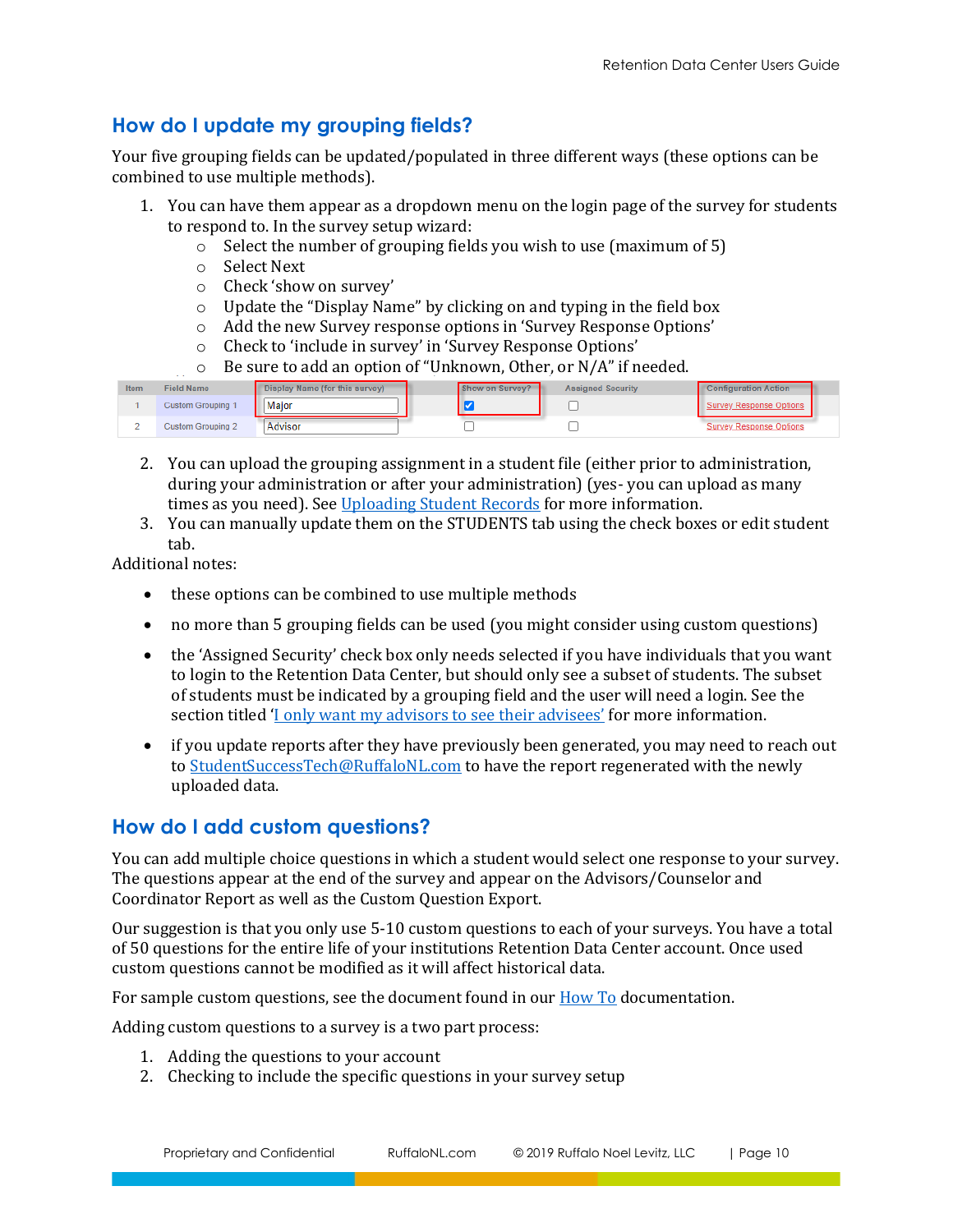## <span id="page-9-0"></span>**How do I update my grouping fields?**

Your five grouping fields can be updated/populated in three different ways (these options can be combined to use multiple methods).

- 1. You can have them appear as a dropdown menu on the login page of the survey for students to respond to. In the survey setup wizard:
	- o Select the number of grouping fields you wish to use (maximum of 5)
	- o Select Next
	- o Check 'show on survey'
	- o Update the "Display Name" by clicking on and typing in the field box
	- o Add the new Survey response options in 'Survey Response Options'
	- o Check to 'include in survey' in 'Survey Response Options'
	- o Be sure to add an option of "Unknown, Other, or N/A" if needed.

| Item | <b>Field Name</b>        | Display Name (for this survey) | Show on Survey? | <b>Assigned Security</b> | <b>Configuration Action</b>    |
|------|--------------------------|--------------------------------|-----------------|--------------------------|--------------------------------|
|      | <b>Custom Grouping 1</b> | Major                          |                 |                          | Survey Response Options        |
|      | <b>Custom Grouping 2</b> | Advisor                        |                 |                          | <b>Survey Response Options</b> |

- 2. You can upload the grouping assignment in a student file (either prior to administration, during your administration or after your administration) (yes- you can upload as many times as you need). See Uploading [Student Records](#page-11-2) for more information.
- 3. You can manually update them on the STUDENTS tab using the check boxes or edit student tab.

Additional notes:

- these options can be combined to use multiple methods
- no more than 5 grouping fields can be used (you might consider using custom questions)
- the 'Assigned Security' check box only needs selected if you have individuals that you want to login to the Retention Data Center, but should only see a subset of students. The subset of students must be indicated by a grouping field and the user will need a login. See the section titled ['I only want my advisors to see their advisees'](#page-15-0) for more information.
- if you update reports after they have previously been generated, you may need to reach out to [StudentSuccessTech@RuffaloNL.com](mailto:StudentSuccessTech@RuffaloNL.com) to have the report regenerated with the newly uploaded data.

## <span id="page-9-1"></span>**How do I add custom questions?**

You can add multiple choice questions in which a student would select one response to your survey. The questions appear at the end of the survey and appear on the Advisors/Counselor and Coordinator Report as well as the Custom Question Export.

Our suggestion is that you only use 5-10 custom questions to each of your surveys. You have a total of 50 questions for the entire life of your institutions Retention Data Center account. Once used custom questions cannot be modified as it will affect historical data.

For sample custom questions, see the document found in our [How To](https://www.ruffalonl.com/complete-enrollment-management/student-success/rnl-retention-management-system-plus/rms-plus-retention-data-center-documentation) documentation.

Adding custom questions to a survey is a two part process:

- 1. Adding the questions to your account
- 2. Checking to include the specific questions in your survey setup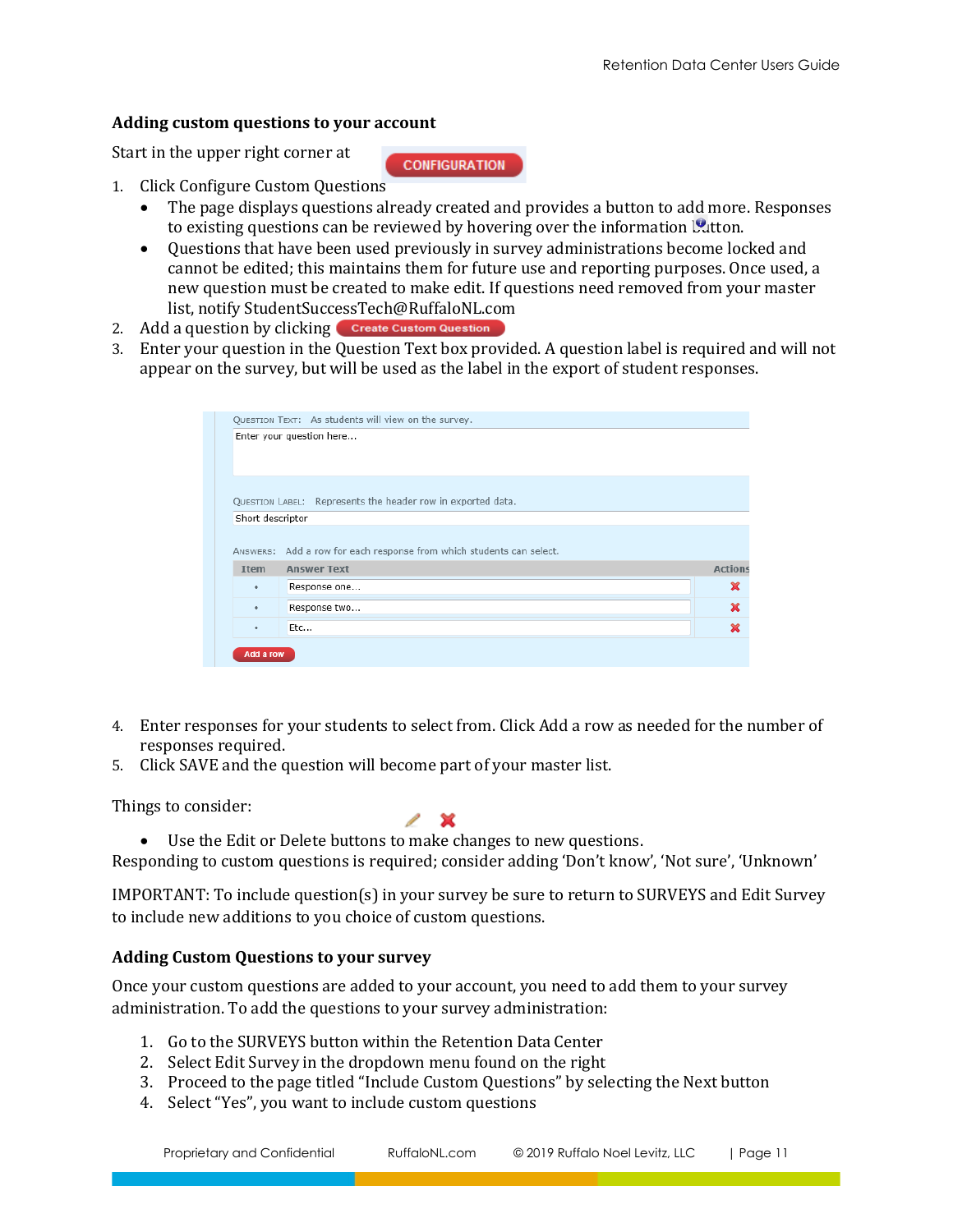#### **Adding custom questions to your account**

Start in the upper right corner at

**CONFIGURATION** 

- 1. Click Configure Custom Questions
	- The page displays questions already created and provides a button to add more. Responses to existing questions can be reviewed by hovering over the information  $\mathcal{Q}_{\text{u}}$ tton.
	- Questions that have been used previously in survey administrations become locked and cannot be edited; this maintains them for future use and reporting purposes. Once used, a new question must be created to make edit. If questions need removed from your master list, notify StudentSuccessTech@RuffaloNL.com
- 2. Add a question by clicking **Create Custom Question**
- 3. Enter your question in the Question Text box provided. A question label is required and will not appear on the survey, but will be used as the label in the export of student responses.

|                  | QUESTION TEXT: As students will view on the survey.                  |                     |
|------------------|----------------------------------------------------------------------|---------------------|
|                  | Enter your question here                                             |                     |
|                  | QUESTION LABEL: Represents the header row in exported data.          |                     |
| Short descriptor |                                                                      |                     |
|                  |                                                                      |                     |
|                  | ANSWERS: Add a row for each response from which students can select. |                     |
| <b>T</b> tem     | <b>Answer Text</b>                                                   |                     |
| ٠                | Response one                                                         | ×                   |
| ٠                | Response two                                                         | ×                   |
| ٠                | Etc                                                                  | <b>Actions</b><br>× |
| Add a row        |                                                                      |                     |

- 4. Enter responses for your students to select from. Click Add a row as needed for the number of responses required.
- 5. Click SAVE and the question will become part of your master list.

Things to consider:



• Use the Edit or Delete buttons to make changes to new questions.

Responding to custom questions is required; consider adding 'Don't know', 'Not sure', 'Unknown'

IMPORTANT: To include question(s) in your survey be sure to return to SURVEYS and Edit Survey to include new additions to you choice of custom questions.

#### **Adding Custom Questions to your survey**

Once your custom questions are added to your account, you need to add them to your survey administration. To add the questions to your survey administration:

- 1. Go to the SURVEYS button within the Retention Data Center
- 2. Select Edit Survey in the dropdown menu found on the right
- 3. Proceed to the page titled "Include Custom Questions" by selecting the Next button
- 4. Select "Yes", you want to include custom questions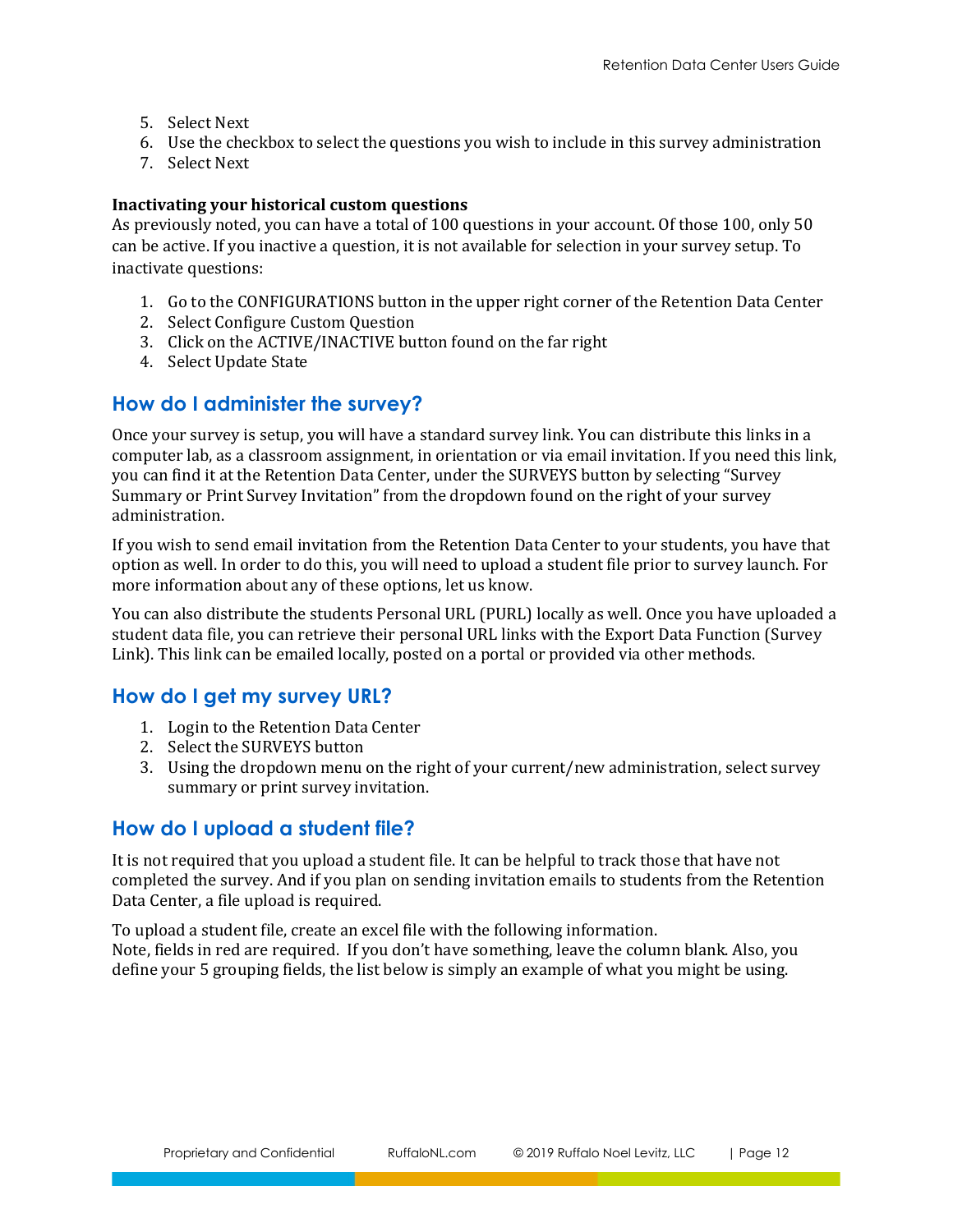- 5. Select Next
- 6. Use the checkbox to select the questions you wish to include in this survey administration
- 7. Select Next

#### **Inactivating your historical custom questions**

As previously noted, you can have a total of 100 questions in your account. Of those 100, only 50 can be active. If you inactive a question, it is not available for selection in your survey setup. To inactivate questions:

- 1. Go to the CONFIGURATIONS button in the upper right corner of the Retention Data Center
- 2. Select Configure Custom Question
- 3. Click on the ACTIVE/INACTIVE button found on the far right
- 4. Select Update State

## <span id="page-11-0"></span>**How do I administer the survey?**

Once your survey is setup, you will have a standard survey link. You can distribute this links in a computer lab, as a classroom assignment, in orientation or via email invitation. If you need this link, you can find it at the Retention Data Center, under the SURVEYS button by selecting "Survey Summary or Print Survey Invitation" from the dropdown found on the right of your survey administration.

If you wish to send email invitation from the Retention Data Center to your students, you have that option as well. In order to do this, you will need to upload a student file prior to survey launch. For more information about any of these options, let us know.

You can also distribute the students Personal URL (PURL) locally as well. Once you have uploaded a student data file, you can retrieve their personal URL links with the Export Data Function (Survey Link). This link can be emailed locally, posted on a portal or provided via other methods.

## <span id="page-11-1"></span>**How do I get my survey URL?**

- 1. Login to the Retention Data Center
- 2. Select the SURVEYS button
- 3. Using the dropdown menu on the right of your current/new administration, select survey summary or print survey invitation.

## <span id="page-11-2"></span>**How do I upload a student file?**

It is not required that you upload a student file. It can be helpful to track those that have not completed the survey. And if you plan on sending invitation emails to students from the Retention Data Center, a file upload is required.

To upload a student file, create an excel file with the following information. Note, fields in red are required. If you don't have something, leave the column blank. Also, you define your 5 grouping fields, the list below is simply an example of what you might be using.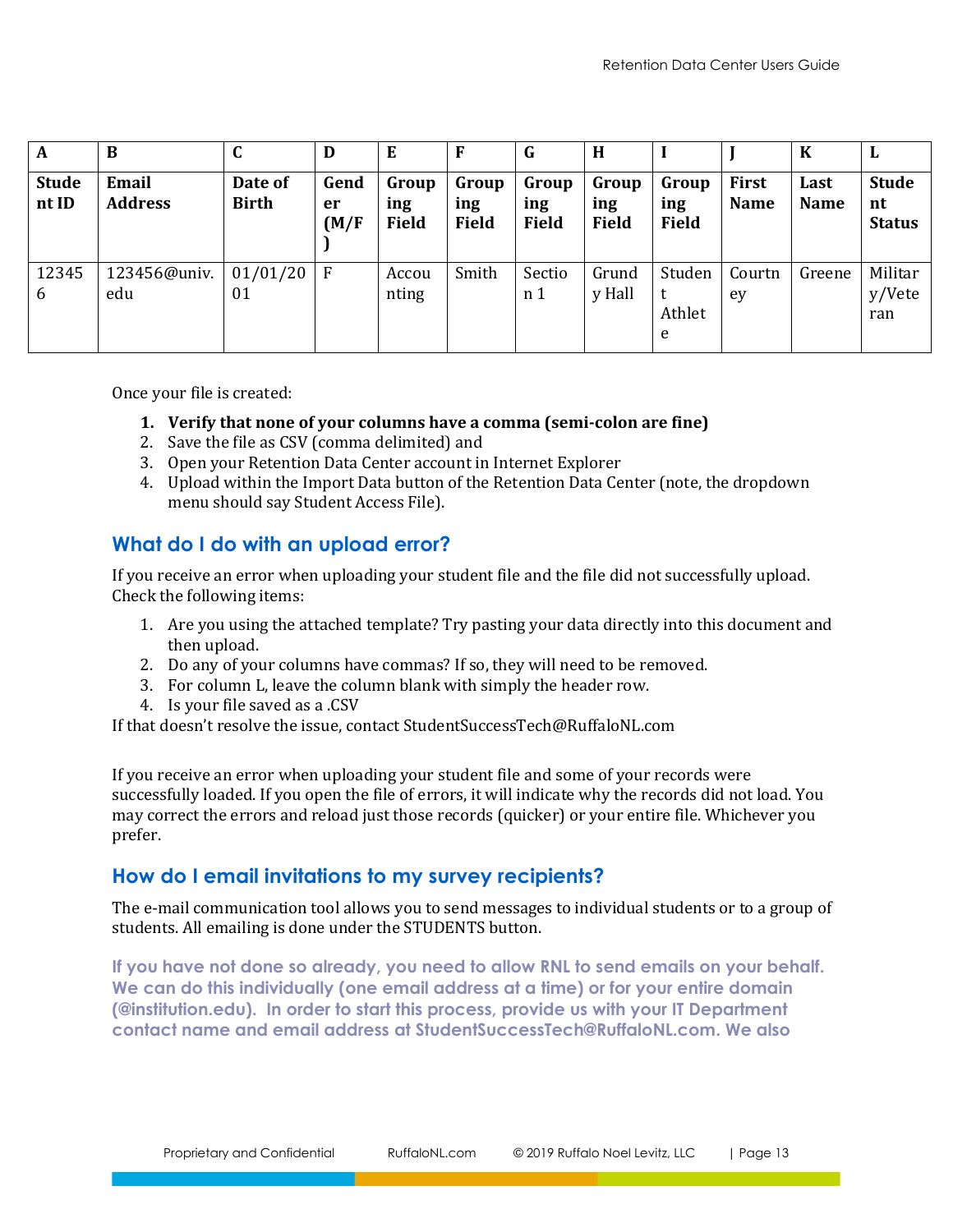| A                     | B                       | $\sqrt{ }$<br>u         | D                   | E                            | F                            | G                            | H                            |                              |                      | $\bf K$             | L                                   |
|-----------------------|-------------------------|-------------------------|---------------------|------------------------------|------------------------------|------------------------------|------------------------------|------------------------------|----------------------|---------------------|-------------------------------------|
| <b>Stude</b><br>nt ID | Email<br><b>Address</b> | Date of<br><b>Birth</b> | Gend<br>er<br>(M/F) | Group<br>ing<br><b>Field</b> | Group<br>ing<br><b>Field</b> | Group<br>ing<br><b>Field</b> | Group<br>ing<br><b>Field</b> | Group<br>ing<br><b>Field</b> | First<br><b>Name</b> | Last<br><b>Name</b> | <b>Stude</b><br>nt<br><b>Status</b> |
| 12345<br>6            | 123456@univ.<br>edu     | 01/01/20<br>01          | $\mathsf{F}$        | Accou<br>nting               | Smith                        | Sectio<br>n 1                | Grund<br>y Hall              | Studen<br>Athlet<br>e        | Courtn<br>ey         | Greene              | Militar<br>y/Vete<br>ran            |

Once your file is created:

#### **1. Verify that none of your columns have a comma (semi-colon are fine)**

- 2. Save the file as CSV (comma delimited) and
- 3. Open your Retention Data Center account in Internet Explorer
- 4. Upload within the Import Data button of the Retention Data Center (note, the dropdown menu should say Student Access File).

## <span id="page-12-0"></span>**What do I do with an upload error?**

If you receive an error when uploading your student file and the file did not successfully upload. Check the following items:

- 1. Are you using the attached template? Try pasting your data directly into this document and then upload.
- 2. Do any of your columns have commas? If so, they will need to be removed.
- 3. For column L, leave the column blank with simply the header row.
- 4. Is your file saved as a .CSV

If that doesn't resolve the issue, contact StudentSuccessTech@RuffaloNL.com

If you receive an error when uploading your student file and some of your records were successfully loaded. If you open the file of errors, it will indicate why the records did not load. You may correct the errors and reload just those records (quicker) or your entire file. Whichever you prefer.

## <span id="page-12-1"></span>**How do I email invitations to my survey recipients?**

The e-mail communication tool allows you to send messages to individual students or to a group of students. All emailing is done under the STUDENTS button.

**If you have not done so already, you need to allow RNL to send emails on your behalf. We can do this individually (one email address at a time) or for your entire domain (@institution.edu). In order to start this process, provide us with your IT Department contact name and email address at StudentSuccessTech@RuffaloNL.com. We also**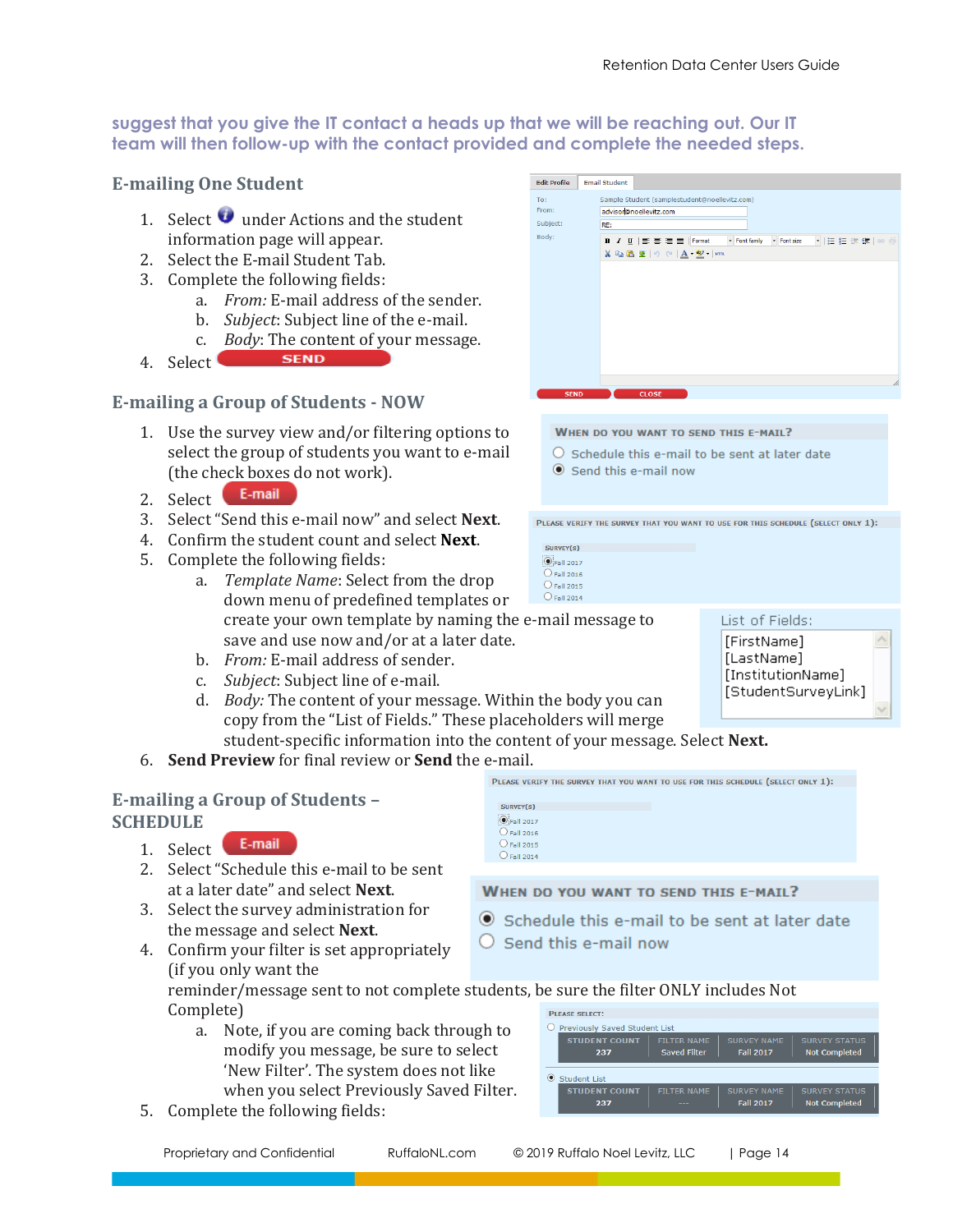#### **suggest that you give the IT contact a heads up that we will be reaching out. Our IT team will then follow-up with the contact provided and complete the needed steps.**

## **E-mailing One Student**

- 1. Select **u** under Actions and the student information page will appear.
- 2. Select the E-mail Student Tab.
- 3. Complete the following fields:
	- a. *From:* E-mail address of the sender.
	- b. *Subject*: Subject line of the e-mail.
	- c. *Body*: The content of your message.
- **SEND** 4. Select

## **E-mailing a Group of Students - NOW**

- 1. Use the survey view and/or filtering options to select the group of students you want to e-mail (the check boxes do not work).
- E-mail 2. Select
- 3. Select "Send this e-mail now" and select **Next**.
- 4. Confirm the student count and select **Next**.
- 5. Complete the following fields:
	- a. *Template Name*: Select from the drop down menu of predefined templates or create your own template by naming the e-mail message to save and use now and/or at a later date.
	- b. *From:* E-mail address of sender.
	- c. *Subject*: Subject line of e-mail.
	- d. *Body:* The content of your message. Within the body you can copy from the "List of Fields." These placeholders will merge student-specific information into the content of your message. Select **Next.**
- 6. **Send Preview** for final review or **Send** the e-mail.

## **E-mailing a Group of Students – SCHEDULE**

- E-mail 1. Select
- 2. Select "Schedule this e-mail to be sent at a later date" and select **Next**.
- 3. Select the survey administration for the message and select **Next**.
- 4. Confirm your filter is set appropriately (if you only want the

| SURVEY(S)            |  |  |
|----------------------|--|--|
| —<br>PFall 2017      |  |  |
| $\bigcirc$ Fall 2016 |  |  |
| $\bigcirc$ Fall 2015 |  |  |
| $\bigcirc$ Fall 2014 |  |  |
|                      |  |  |

#### WHEN DO YOU WANT TO SEND THIS E-MAIL?

 $\odot$  Schedule this e-mail to be sent at later date

PLEASE VERIFY THE SURVEY THAT YOU WANT TO USE FOR THIS SCHEDULE (SELECT ONLY 1):

 $\bigcirc$  Send this e-mail now

reminder/message sent to not complete students, be sure the filter ONLY includes Not Complete)

- a. Note, if you are coming back through to modify you message, be sure to select 'New Filter'. The system does not like when you select Previously Saved Filter.
- 5. Complete the following fields:

| <b>PLEASE SELECT:</b>                |                    |                    |                      |
|--------------------------------------|--------------------|--------------------|----------------------|
| <b>Previously Saved Student List</b> |                    |                    |                      |
| <b>STUDENT COUNT</b>                 | <b>FILTER NAME</b> | <b>SURVEY NAME</b> | <b>SURVEY STATUS</b> |
| 237                                  | Saved Filter       | <b>Fall 2017</b>   | <b>Not Completed</b> |
| <b>Student List</b>                  |                    |                    |                      |
| <b>STUDENT COUNT</b>                 | <b>FILTER NAME</b> | <b>SURVEY NAME</b> | <b>SURVEY STATUS</b> |
| 237                                  |                    | <b>Fall 2017</b>   | <b>Not Completed</b> |

kb:<br><mark>B Z U</mark> | F 종 필 로 | Formst | | Fontfamiy | Pontsize<br>X Q 웹 또 | 이 에 <u>A - <sup>82</sup> - | ema</u>

WHEN DO YOU WANT TO SEND THIS E-MAIL?

Sample Student (samplestudent@noellevitz.com)

advisor@noellevitz.com

- $\bigcirc$  Schedule this e-mail to be sent at later date
- Send this e-mail now

PLEASE VERIFY THE SURVEY THAT YOU WANT TO USE FOR THIS SCHEDULE (SELECT ONLY 1):

| SURVEY(S)          |  |
|--------------------|--|
| <b>OFall 2017</b>  |  |
| <b>O</b> Fall 2016 |  |
| <b>O</b> Fall 2015 |  |
| <b>O</b> Fall 2014 |  |
|                    |  |

Edit Profile Email Student

RF:

From:

Subject:

Body:



Ä

→旧旧伊健|∞

| Proprietary and Confidential<br>RuffaloNL.com | © 2019 Ruffalo Noel Levitz, LLC | Page 14 |
|-----------------------------------------------|---------------------------------|---------|
|-----------------------------------------------|---------------------------------|---------|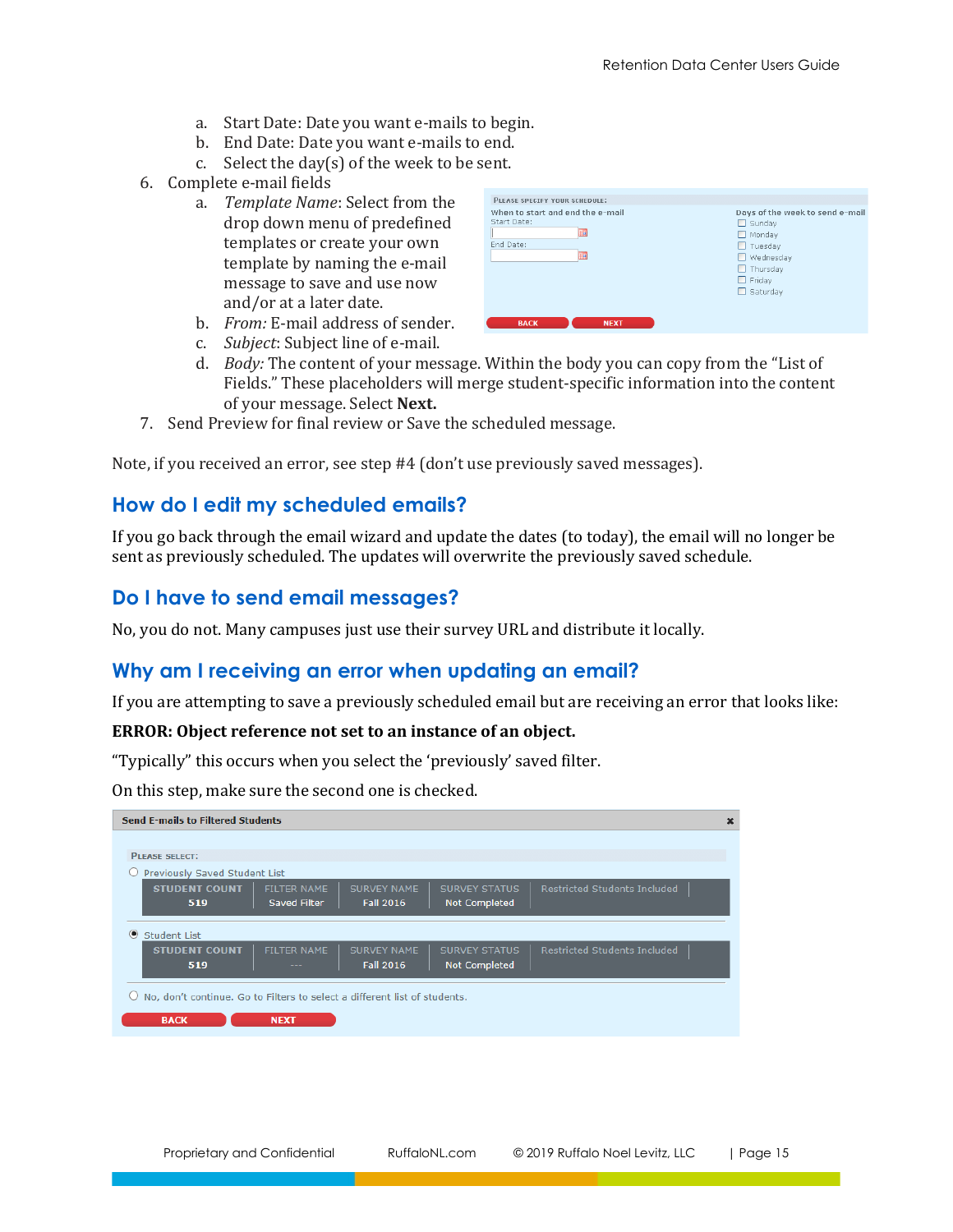- a. Start Date: Date you want e-mails to begin.
- b. End Date: Date you want e-mails to end.
- c. Select the day $(s)$  of the week to be sent.
- 6. Complete e-mail fields
	- a. *Template Name*: Select from the drop down menu of predefined templates or create your own template by naming the e-mail message to save and use now and/or at a later date.

| Start Date: | $\Box$ Sunday    |
|-------------|------------------|
| m           | $\Box$ Monday    |
| End Date:   | Tuesday<br>ш     |
| mar.        | $\Box$ Wednesday |
|             | $\Box$ Thursday  |
|             | $\Box$ Friday    |
|             | $\Box$ Saturday  |

- b. *From:* E-mail address of sender.
- c. *Subject*: Subject line of e-mail.
- d. *Body:* The content of your message. Within the body you can copy from the "List of Fields." These placeholders will merge student-specific information into the content of your message. Select **Next.**
- 7. Send Preview for final review or Save the scheduled message.

<span id="page-14-0"></span>Note, if you received an error, see step #4 (don't use previously saved messages).

## **How do I edit my scheduled emails?**

If you go back through the email wizard and update the dates (to today), the email will no longer be sent as previously scheduled. The updates will overwrite the previously saved schedule.

## <span id="page-14-1"></span>**Do I have to send email messages?**

No, you do not. Many campuses just use their survey URL and distribute it locally.

## <span id="page-14-2"></span>**Why am I receiving an error when updating an email?**

If you are attempting to save a previously scheduled email but are receiving an error that looks like:

#### **ERROR: Object reference not set to an instance of an object.**

"Typically" this occurs when you select the 'previously' saved filter.

On this step, make sure the second one is checked.

| <b>Send E-mails to Filtered Students</b>                                                                                                                                                    | × |
|---------------------------------------------------------------------------------------------------------------------------------------------------------------------------------------------|---|
|                                                                                                                                                                                             |   |
| <b>PLEASE SELECT:</b>                                                                                                                                                                       |   |
| Previously Saved Student List                                                                                                                                                               |   |
| <b>Restricted Students Included</b><br><b>SURVEY NAME</b><br><b>SURVEY STATUS</b><br><b>STUDENT COUNT</b><br><b>FILTER NAME</b><br><b>Fall 2016</b><br>Saved Filter<br>Not Completed<br>519 |   |
| $\odot$<br>Student List                                                                                                                                                                     |   |
| <b>SURVEY NAME</b><br><b>SURVEY STATUS</b><br><b>Restricted Students Included</b><br><b>STUDENT COUNT</b><br><b>FILTER NAME</b><br><b>Fall 2016</b><br><b>Not Completed</b><br>519          |   |
| No, don't continue. Go to Filters to select a different list of students.                                                                                                                   |   |
| <b>BACK</b><br><b>NEXT</b>                                                                                                                                                                  |   |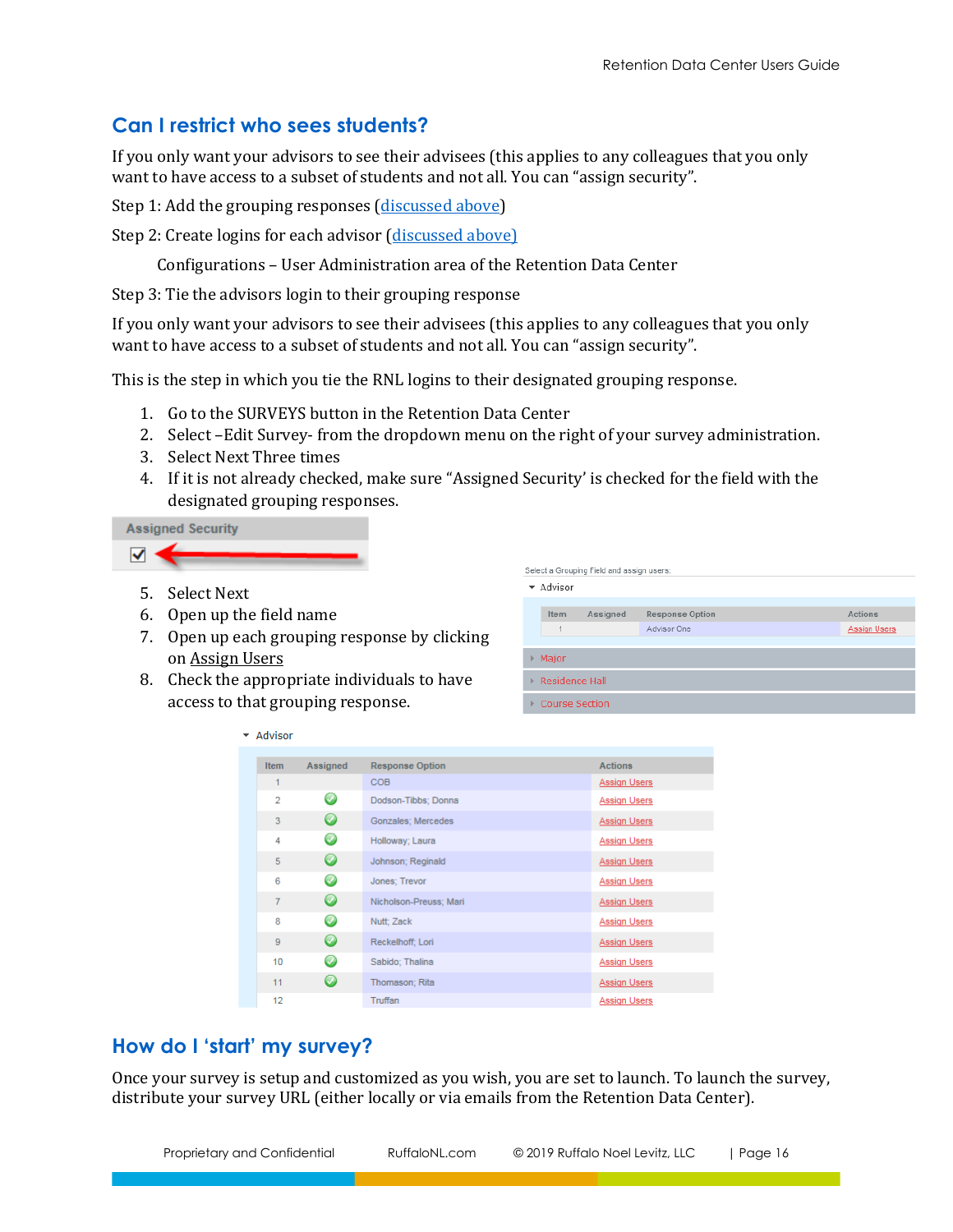## <span id="page-15-0"></span>**Can I restrict who sees students?**

If you only want your advisors to see their advisees (this applies to any colleagues that you only want to have access to a subset of students and not all. You can "assign security".

Step 1: Add the grouping responses [\(discussed above\)](#page-9-0)

Step 2: Create logins for each advisor [\(discussed above\)](#page-3-4)

Configurations – User Administration area of the Retention Data Center

Step 3: Tie the advisors login to their grouping response

If you only want your advisors to see their advisees (this applies to any colleagues that you only want to have access to a subset of students and not all. You can "assign security".

This is the step in which you tie the RNL logins to their designated grouping response.

- 1. Go to the SURVEYS button in the Retention Data Center
- 2. Select –Edit Survey- from the dropdown menu on the right of your survey administration.
- 3. Select Next Three times
- 4. If it is not already checked, make sure "Assigned Security' is checked for the field with the designated grouping responses.

**Assigned Security** 

5. Select Next

 $\blacktriangledown$ 

6. Open up the field name

 $\overline{\phantom{a}}$  Advisor

- 7. Open up each grouping response by clicking on Assign Users
- 8. Check the appropriate individuals to have access to that grouping response.

|    | Select a Grouping Field and assign users: |          |                                       |                                       |  |
|----|-------------------------------------------|----------|---------------------------------------|---------------------------------------|--|
| ▼  | Advisor                                   |          |                                       |                                       |  |
|    | Item<br>1                                 | Assigned | <b>Response Option</b><br>Advisor One | <b>Actions</b><br><b>Assign Users</b> |  |
| Þ. | Major                                     |          |                                       |                                       |  |
| ь  | <b>Residence Hall</b>                     |          |                                       |                                       |  |
|    | Course Section                            |          |                                       |                                       |  |

| <b>Item</b>    | Assigned           | <b>Response Option</b>    | <b>Actions</b>      |
|----------------|--------------------|---------------------------|---------------------|
| 1              |                    | <b>COB</b>                | <b>Assign Users</b> |
| $\overline{2}$ | $\bm{\omega}$      | Dodson-Tibbs; Donna       | <b>Assign Users</b> |
| 3              | Ø                  | <b>Gonzales: Mercedes</b> | Assign Users        |
| 4              | $\omega$           | Holloway; Laura           | <b>Assign Users</b> |
| 5              | $\bm \omega$       | Johnson; Reginald         | Assign Users        |
| 6              | Ø                  | Jones; Trevor             | <b>Assign Users</b> |
| $\overline{7}$ | $\bm \omega$       | Nicholson-Preuss; Mari    | Assign Users        |
| 8              | $\omega$           | Nutt; Zack                | <b>Assign Users</b> |
| 9              | $\circ$            | Reckelhoff; Lori          | Assign Users        |
| 10             | $\rm \circledcirc$ | Sabido: Thalina           | <b>Assign Users</b> |
| 11             | $\bm{\omega}$      | Thomason; Rita            | <b>Assign Users</b> |
| 12             |                    | Truffan                   | Assign Users        |

## <span id="page-15-1"></span>**How do I 'start' my survey?**

Once your survey is setup and customized as you wish, you are set to launch. To launch the survey, distribute your survey URL (either locally or via emails from the Retention Data Center).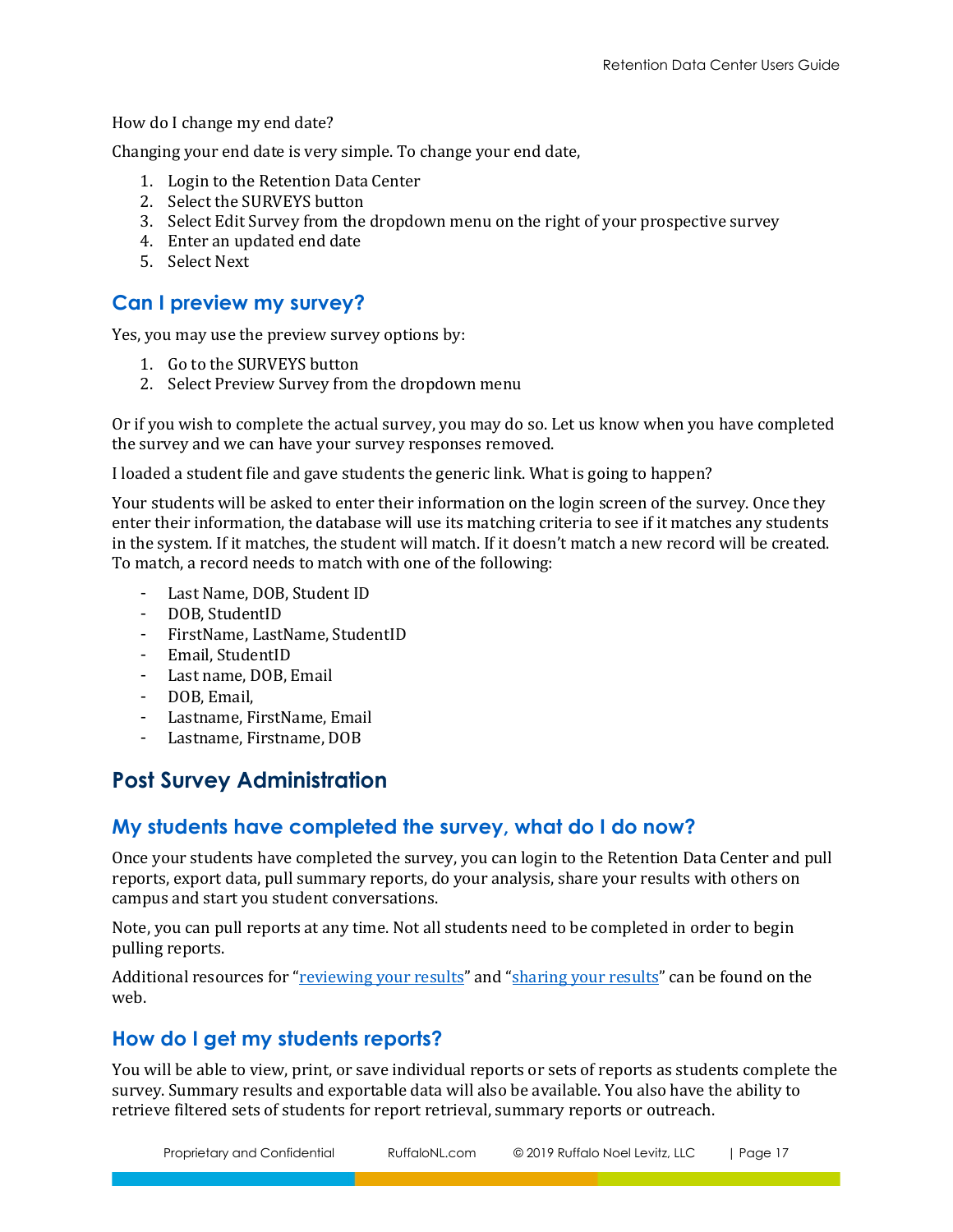How do I change my end date?

Changing your end date is very simple. To change your end date,

- 1. Login to the Retention Data Center
- 2. Select the SURVEYS button
- 3. Select Edit Survey from the dropdown menu on the right of your prospective survey
- 4. Enter an updated end date
- 5. Select Next

## <span id="page-16-0"></span>**Can I preview my survey?**

Yes, you may use the preview survey options by:

- 1. Go to the SURVEYS button
- 2. Select Preview Survey from the dropdown menu

Or if you wish to complete the actual survey, you may do so. Let us know when you have completed the survey and we can have your survey responses removed.

I loaded a student file and gave students the generic link. What is going to happen?

Your students will be asked to enter their information on the login screen of the survey. Once they enter their information, the database will use its matching criteria to see if it matches any students in the system. If it matches, the student will match. If it doesn't match a new record will be created. To match, a record needs to match with one of the following:

- Last Name, DOB, Student ID
- DOB, StudentID
- FirstName, LastName, StudentID
- Email, StudentID
- Last name, DOB, Email
- DOB, Email,
- Lastname, FirstName, Email
- Lastname, Firstname, DOB

# <span id="page-16-1"></span>**Post Survey Administration**

## <span id="page-16-2"></span>**My students have completed the survey, what do I do now?**

Once your students have completed the survey, you can login to the Retention Data Center and pull reports, export data, pull summary reports, do your analysis, share your results with others on campus and start you student conversations.

Note, you can pull reports at any time. Not all students need to be completed in order to begin pulling reports.

Additional resources for "[reviewing your results](http://www.ruffalonl.com/RMSResults)" and "[sharing your results](http://www.ruffalonl.com/RMSSharingResults)" can be found on the web.

## <span id="page-16-3"></span>**How do I get my students reports?**

You will be able to view, print, or save individual reports or sets of reports as students complete the survey. Summary results and exportable data will also be available. You also have the ability to retrieve filtered sets of students for report retrieval, summary reports or outreach.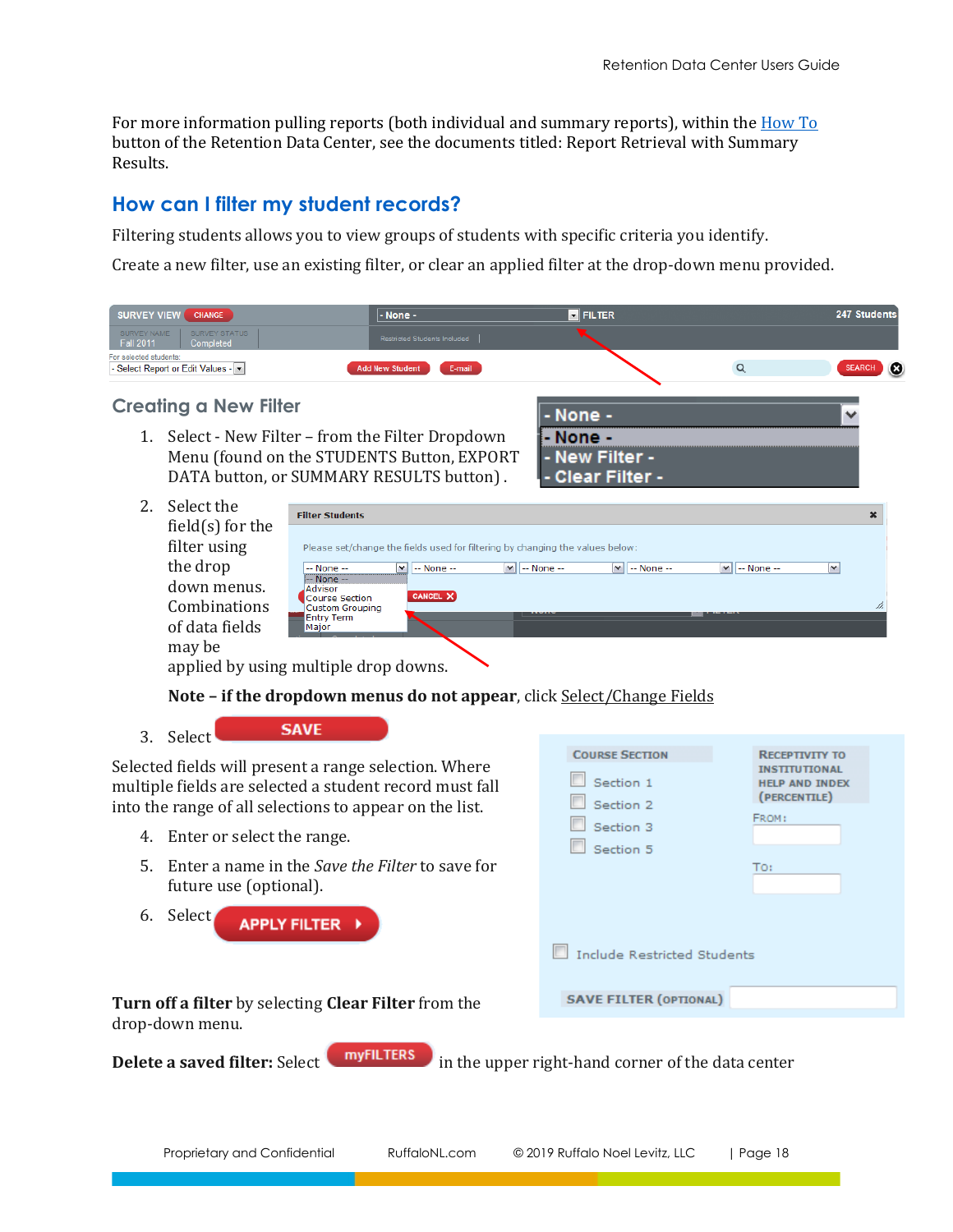For more information pulling reports (both individual and summary reports), within th[e How To](http://www.ruffalonl.com/DataCenter) button of the Retention Data Center, see the documents titled: Report Retrieval with Summary Results.

## <span id="page-17-0"></span>**How can I filter my student records?**

Filtering students allows you to view groups of students with specific criteria you identify.

Create a new filter, use an existing filter, or clear an applied filter at the drop-down menu provided.

| <b>SURVEY VIEW</b><br><b>CHANGE</b>                           | l - None -                       | <b>N</b> FILTER | 247 Students                  |
|---------------------------------------------------------------|----------------------------------|-----------------|-------------------------------|
| SURVEY NAME<br>SURVEY STATUS<br><b>Fall 2011</b><br>Completed | Restricted Students Included     |                 |                               |
| For selected students:<br>- Select Report or Edit Values - v  | E-mail<br><b>Add New Student</b> |                 | $\mathbf{c}$<br><b>SEARCH</b> |

#### **Creating a New Filter**

1. Select - New Filter – from the Filter Dropdown Menu (found on the STUDENTS Button, EXPORT DATA button, or SUMMARY RESULTS button) .

| - None -         |  |  |
|------------------|--|--|
| - None -         |  |  |
| - New Filter -   |  |  |
| - Clear Filter - |  |  |
|                  |  |  |

| Select the          |                                                                                                                              |                           |
|---------------------|------------------------------------------------------------------------------------------------------------------------------|---------------------------|
|                     | <b>Filter Students</b>                                                                                                       | $\boldsymbol{\mathsf{x}}$ |
| field $(s)$ for the |                                                                                                                              |                           |
| filter using        | Please set/change the fields used for filtering by changing the values below:                                                |                           |
| the drop            | $\ $ $\vee$ $\ $ -- None --<br>$\mathbf{v}$<br>-- None --<br>$\vee$ $\vdash$ None $\div$<br>lv<br>-- None --<br>$-$ None $-$ |                           |
| down menus.         | -- None --<br>Advisor<br>CANCEL X                                                                                            |                           |
| Combinations        | Course Section<br>Custom Grouping<br>------<br>wan                                                                           | $\mathbb{Z}$              |
| of data fields      | <b>Entry Term</b><br>Major                                                                                                   |                           |
| may be<br>.         | .                                                                                                                            |                           |

applied by using multiple drop downs.

**Note – if the dropdown menus do not appear**, click Select/Change Fields

3. Select

Selected fields will present a range selection. Where multiple fields are selected a student record must fall into the range of all selections to appear on the list.

**SAVE** 

- 4. Enter or select the range.
- 5. Enter a name in the *Save the Filter* to save for future use (optional).
- 6. Select **APPLY FILTER**

| <b>COURSE SECTION</b><br>Section 1<br>Section 2<br>Section 3 | <b>RECEPTIVITY TO</b><br><b>INSTITUTIONAL</b><br><b>HELP AND INDEX</b><br>(PERCENTILE)<br>FROM: |
|--------------------------------------------------------------|-------------------------------------------------------------------------------------------------|
| Section 5                                                    | TO:                                                                                             |
| <b>Include Restricted Students</b>                           |                                                                                                 |
| <b>SAVE FILTER (OPTIONAL)</b>                                |                                                                                                 |

**Turn off a filter** by selecting **Clear Filter** from the drop-down menu.

**Delete a saved filter:** Select **in the upper right-hand corner of the data center**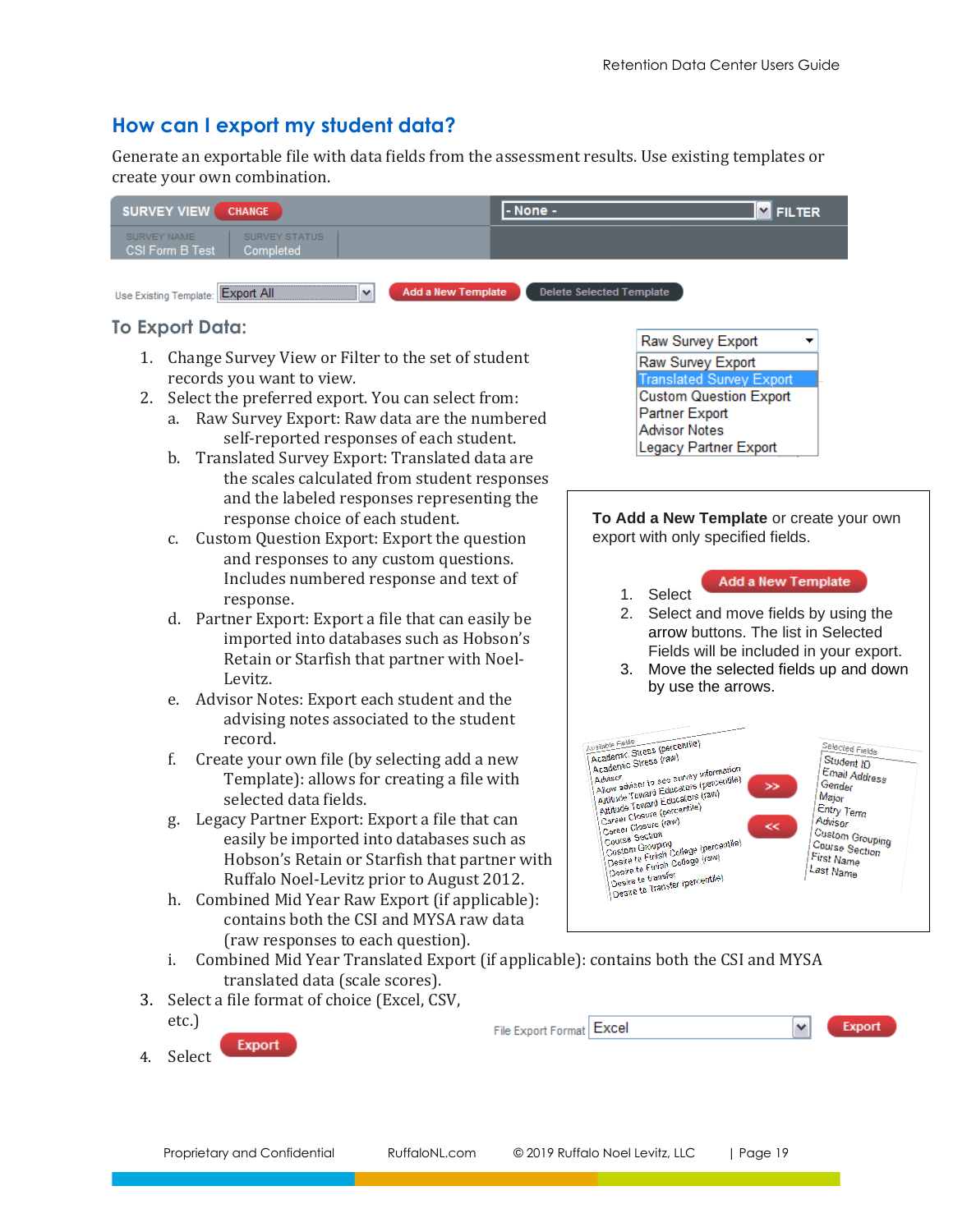## <span id="page-18-0"></span>**How can I export my student data?**

Generate an exportable file with data fields from the assessment results. Use existing templates or create your own combination.

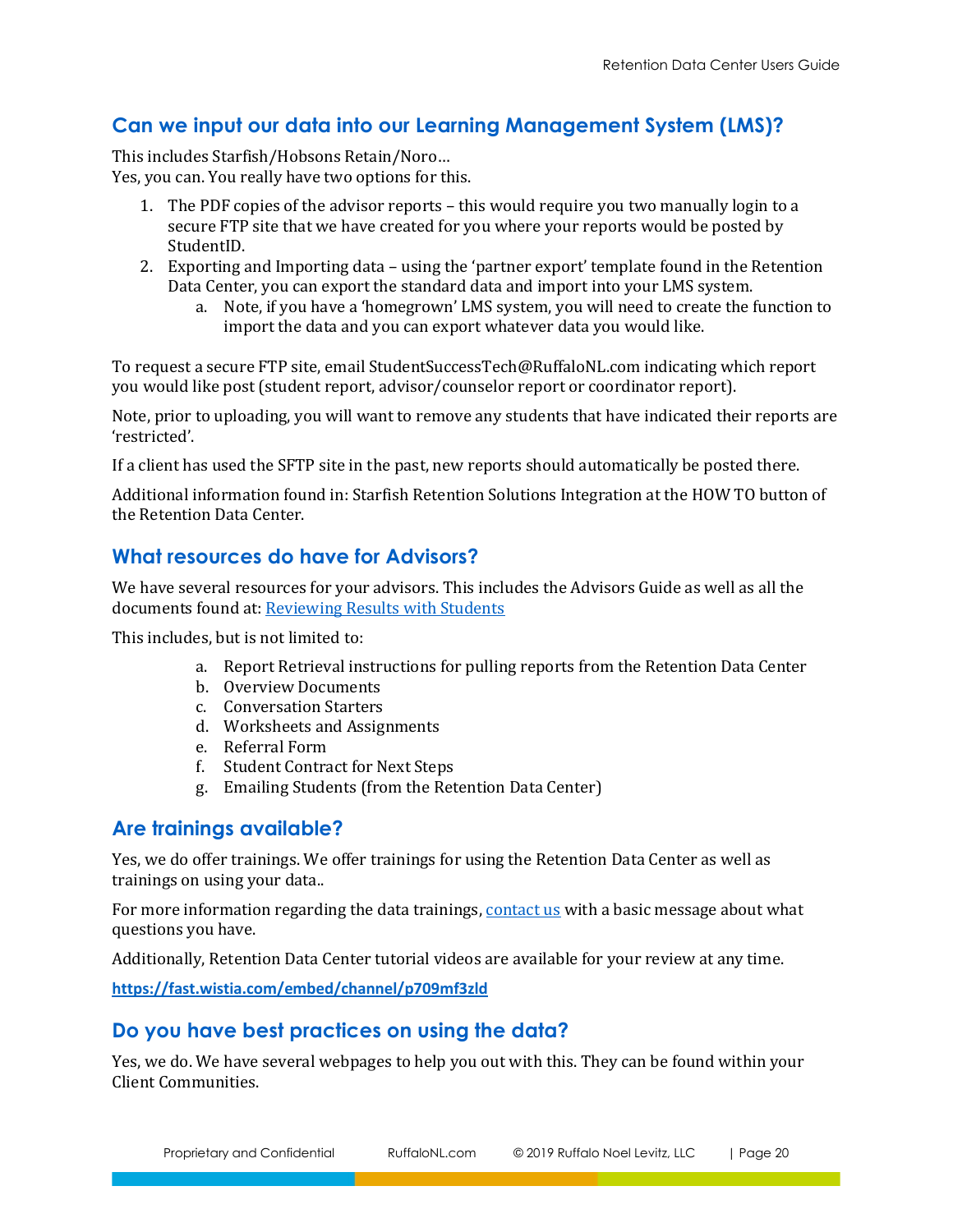## <span id="page-19-0"></span>**Can we input our data into our Learning Management System (LMS)?**

This includes Starfish/Hobsons Retain/Noro… Yes, you can. You really have two options for this.

- 1. The PDF copies of the advisor reports this would require you two manually login to a secure FTP site that we have created for you where your reports would be posted by StudentID.
- 2. Exporting and Importing data using the 'partner export' template found in the Retention Data Center, you can export the standard data and import into your LMS system.
	- a. Note, if you have a 'homegrown' LMS system, you will need to create the function to import the data and you can export whatever data you would like.

To request a secure FTP site, email StudentSuccessTech@RuffaloNL.com indicating which report you would like post (student report, advisor/counselor report or coordinator report).

Note, prior to uploading, you will want to remove any students that have indicated their reports are 'restricted'.

If a client has used the SFTP site in the past, new reports should automatically be posted there.

Additional information found in: Starfish Retention Solutions Integration at the HOW TO button of the Retention Data Center.

## <span id="page-19-1"></span>**What resources do have for Advisors?**

We have several resources for your advisors. This includes the Advisors Guide as well as all the documents found at[: Reviewing Results with Students](http://www.ruffalonl.com/RMSResults)

This includes, but is not limited to:

- a. Report Retrieval instructions for pulling reports from the Retention Data Center
- b. Overview Documents
- c. Conversation Starters
- d. Worksheets and Assignments
- e. Referral Form
- f. Student Contract for Next Steps
- g. Emailing Students (from the Retention Data Center)

## <span id="page-19-2"></span>**Are trainings available?**

Yes, we do offer trainings. We offer trainings for using the Retention Data Center as well as trainings on using your data..

For more information regarding the data trainings[, contact us](mailto:StudentSuccessTech@RuffaloNL.com) with a basic message about what questions you have.

Additionally, Retention Data Center tutorial videos are available for your review at any time.

<span id="page-19-3"></span>**[https://fast.wistia.com/embed/channel/p709mf3zld](https://nam04.safelinks.protection.outlook.com/?url=https%3A%2F%2Ffast.wistia.com%2Fembed%2Fchannel%2Fp709mf3zld&data=04%7C01%7C%7C45ce7e4e019641f0612c08da05f7c391%7Cd9fa72a80554450eb06be822956ab212%7C0%7C0%7C637828858964451470%7CUnknown%7CTWFpbGZsb3d8eyJWIjoiMC4wLjAwMDAiLCJQIjoiV2luMzIiLCJBTiI6Ik1haWwiLCJXVCI6Mn0%3D%7C3000&sdata=NfAmyMYbXUMuHh2KOrQ8xSSav88LzNypPFsXzm2SOgU%3D&reserved=0)**

## **Do you have best practices on using the data?**

Yes, we do. We have several webpages to help you out with this. They can be found within your Client Communities.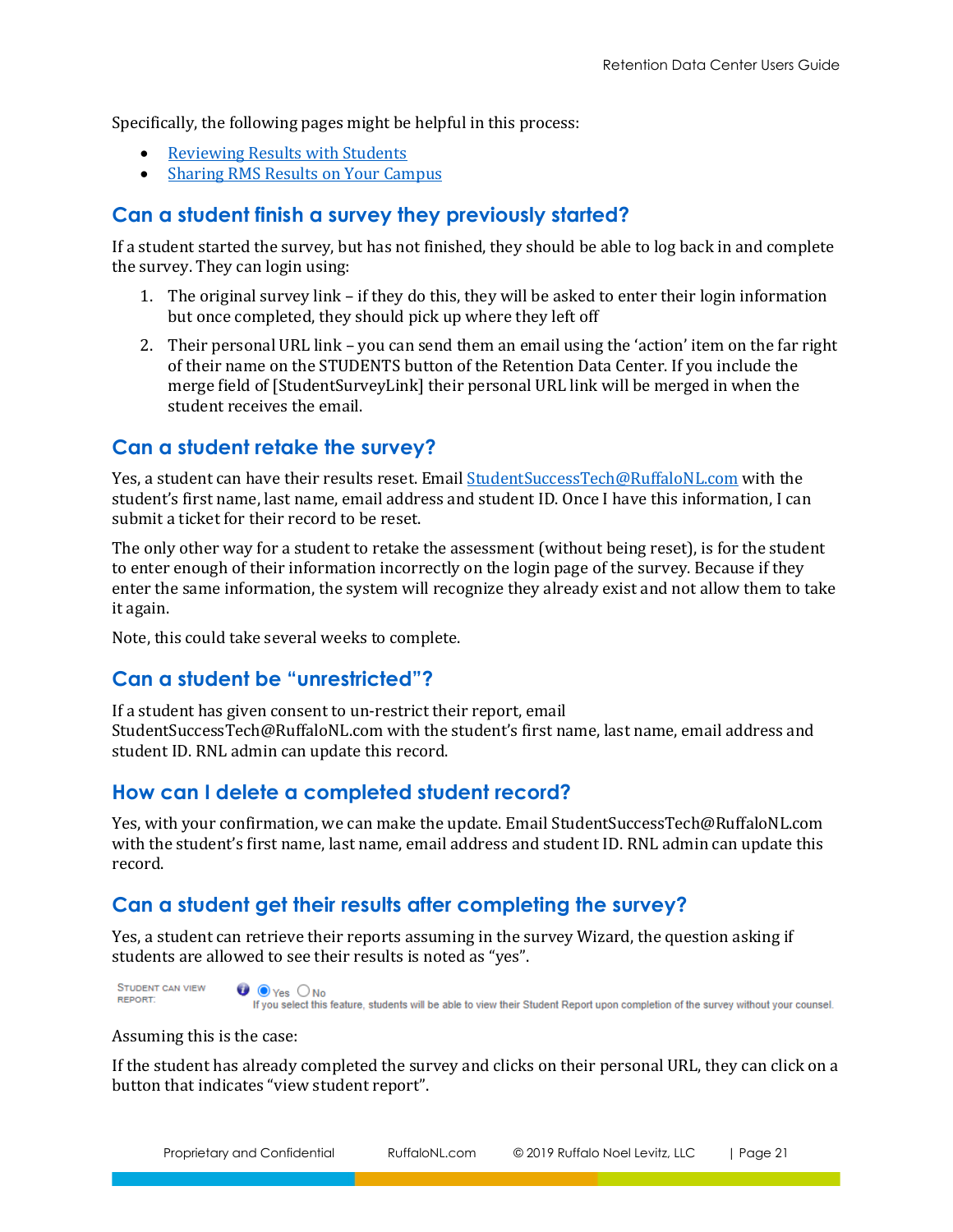Specifically, the following pages might be helpful in this process:

- [Reviewing Results with Students](http://www.ruffalonl.com/RMSResults)
- [Sharing RMS Results on Your Campus](http://www.ruffalonl.com/RMSSharingResults)

## <span id="page-20-0"></span>**Can a student finish a survey they previously started?**

If a student started the survey, but has not finished, they should be able to log back in and complete the survey. They can login using:

- 1. The original survey link if they do this, they will be asked to enter their login information but once completed, they should pick up where they left off
- 2. Their personal URL link you can send them an email using the 'action' item on the far right of their name on the STUDENTS button of the Retention Data Center. If you include the merge field of [StudentSurveyLink] their personal URL link will be merged in when the student receives the email.

## <span id="page-20-1"></span>**Can a student retake the survey?**

Yes, a student can have their results reset. Email [StudentSuccessTech@RuffaloNL.com](mailto:StudentSuccessTech@RuffaloNL.com) with the student's first name, last name, email address and student ID. Once I have this information, I can submit a ticket for their record to be reset.

The only other way for a student to retake the assessment (without being reset), is for the student to enter enough of their information incorrectly on the login page of the survey. Because if they enter the same information, the system will recognize they already exist and not allow them to take it again.

Note, this could take several weeks to complete.

# <span id="page-20-2"></span>**Can a student be "unrestricted"?**

If a student has given consent to un-restrict their report, email StudentSuccessTech@RuffaloNL.com with the student's first name, last name, email address and student ID. RNL admin can update this record.

## <span id="page-20-3"></span>**How can I delete a completed student record?**

Yes, with your confirmation, we can make the update. Email StudentSuccessTech@RuffaloNL.com with the student's first name, last name, email address and student ID. RNL admin can update this record.

# <span id="page-20-4"></span>**Can a student get their results after completing the survey?**

Yes, a student can retrieve their reports assuming in the survey Wizard, the question asking if students are allowed to see their results is noted as "yes".

**STUDENT CAN VIEW** REPORT:



If you select this feature, students will be able to view their Student Report upon completion of the survey without your counsel.

Assuming this is the case:

If the student has already completed the survey and clicks on their personal URL, they can click on a button that indicates "view student report".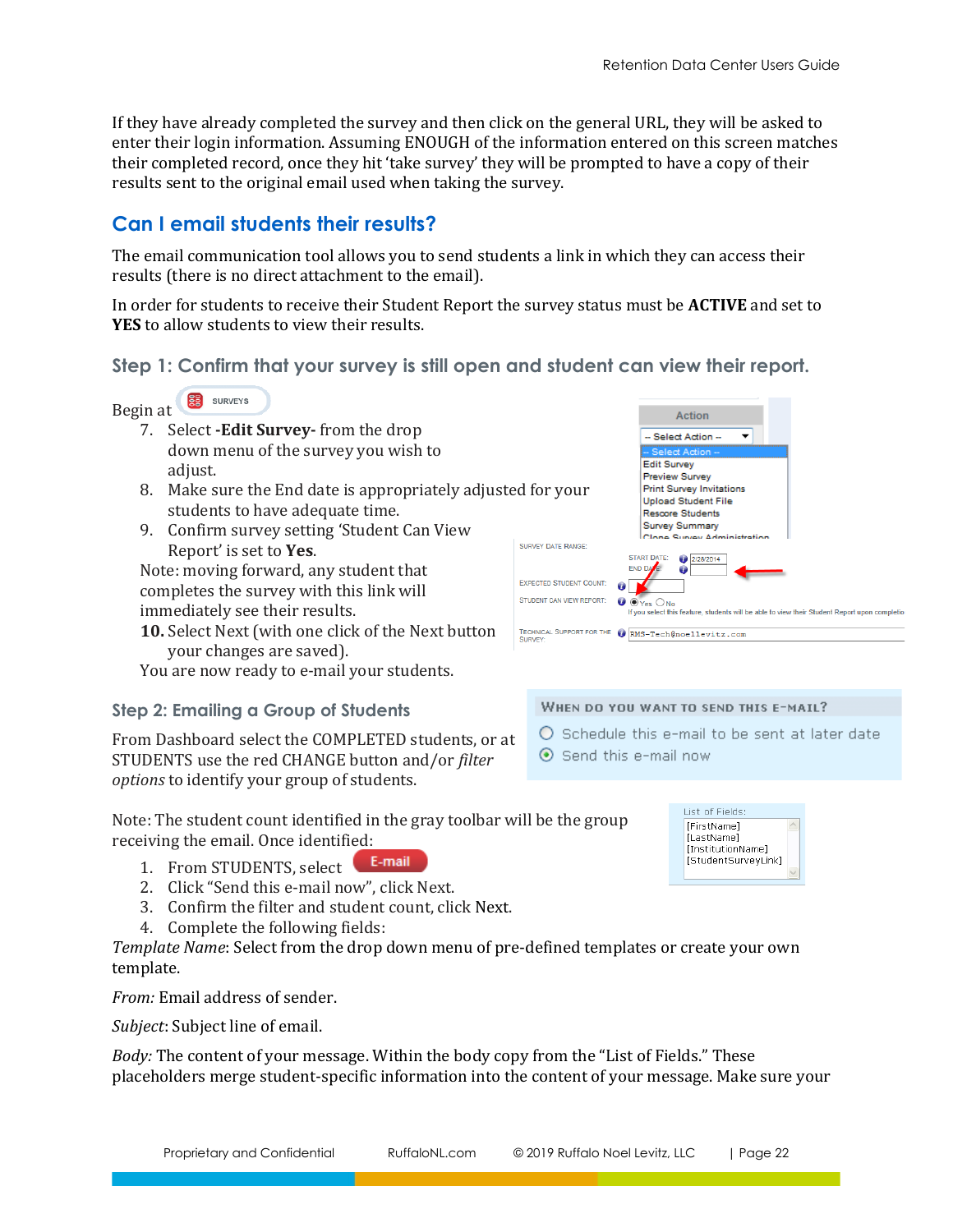If they have already completed the survey and then click on the general URL, they will be asked to enter their login information. Assuming ENOUGH of the information entered on this screen matches their completed record, once they hit 'take survey' they will be prompted to have a copy of their results sent to the original email used when taking the survey.

# <span id="page-21-0"></span>**Can I email students their results?**

The email communication tool allows you to send students a link in which they can access their results (there is no direct attachment to the email).

In order for students to receive their Student Report the survey status must be **ACTIVE** and set to **YES** to allow students to view their results.

## **Step 1: Confirm that your survey is still open and student can view their report.**



- 7. Select **-Edit Survey-** from the drop down menu of the survey you wish to adjust.
- 8. Make sure the End date is appropriately adjusted for your students to have adequate time.
- 9. Confirm survey setting 'Student Can View Report' is set to **Yes**.

Note: moving forward, any student that completes the survey with this link will immediately see their results.

**10.** Select Next (with one click of the Next button your changes are saved).

You are now ready to e-mail your students.

## **Step 2: Emailing a Group of Students**

From Dashboard select the COMPLETED students, or at STUDENTS use the red CHANGE button and/or *filter options* to identify your group of students.

Note: The student count identified in the gray toolbar will be the group receiving the email. Once identified:

- E-mail 1. From STUDENTS, select
- 2. Click "Send this e-mail now", click Next.
- 3. Confirm the filter and student count, click Next.
- 4. Complete the following fields:

*Template Name*: Select from the drop down menu of pre-defined templates or create your own template.

*From:* Email address of sender.

*Subject*: Subject line of email.

*Body:* The content of your message. Within the body copy from the "List of Fields." These placeholders merge student-specific information into the content of your message. Make sure your



#### WHEN DO YOU WANT TO SEND THIS E-MAIL?

 $\bigcirc$  Schedule this e-mail to be sent at later date  $\odot$  Send this e-mail now